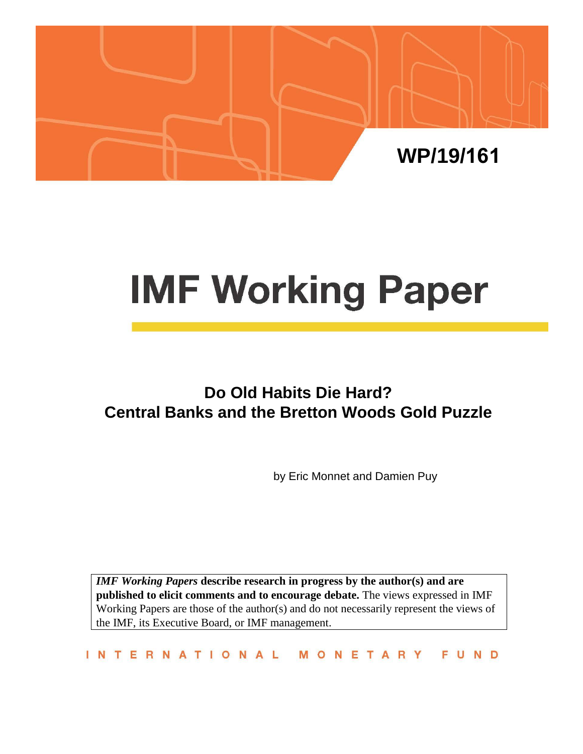

# **IMF Working Paper**

## **Do Old Habits Die Hard? Central Banks and the Bretton Woods Gold Puzzle**

by Eric Monnet and Damien Puy

*IMF Working Papers* **describe research in progress by the author(s) and are published to elicit comments and to encourage debate.** The views expressed in IMF Working Papers are those of the author(s) and do not necessarily represent the views of the IMF, its Executive Board, or IMF management.

INTERNATIONAL MONETARY FUND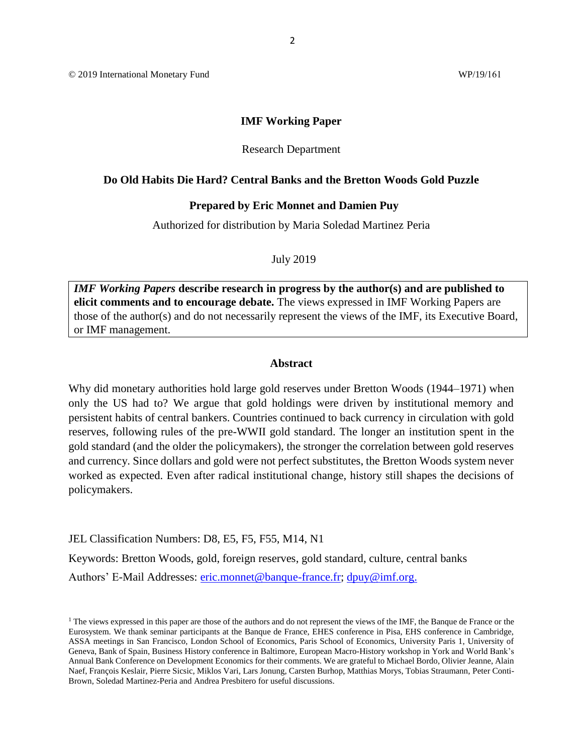© 2019 International Monetary Fund WP/19/161

#### **IMF Working Paper**

#### Research Department

#### **Do Old Habits Die Hard? Central Banks and the Bretton Woods Gold Puzzle**

#### **Prepared by Eric Monnet and Damien Puy**

Authorized for distribution by Maria Soledad Martinez Peria

July 2019

*IMF Working Papers* **describe research in progress by the author(s) and are published to elicit comments and to encourage debate.** The views expressed in IMF Working Papers are those of the author(s) and do not necessarily represent the views of the IMF, its Executive Board, or IMF management.

#### **Abstract**

Why did monetary authorities hold large gold reserves under Bretton Woods (1944–1971) when only the US had to? We argue that gold holdings were driven by institutional memory and persistent habits of central bankers. Countries continued to back currency in circulation with gold reserves, following rules of the pre-WWII gold standard. The longer an institution spent in the gold standard (and the older the policymakers), the stronger the correlation between gold reserves and currency. Since dollars and gold were not perfect substitutes, the Bretton Woods system never worked as expected. Even after radical institutional change, history still shapes the decisions of policymakers.

JEL Classification Numbers: D8, E5, F5, F55, M14, N1

Keywords: Bretton Woods, gold, foreign reserves, gold standard, culture, central banks

Authors' E-Mail Addresses: [eric.monnet@banque-france.fr;](mailto:eric.monnet@banque-france.fr) [dpuy@imf.org.](mailto:dpuy@imf.org)

<sup>&</sup>lt;sup>1</sup> The views expressed in this paper are those of the authors and do not represent the views of the IMF, the Banque de France or the Eurosystem. We thank seminar participants at the Banque de France, EHES conference in Pisa, EHS conference in Cambridge, ASSA meetings in San Francisco, London School of Economics, Paris School of Economics, University Paris 1, University of Geneva, Bank of Spain, Business History conference in Baltimore, European Macro-History workshop in York and World Bank's Annual Bank Conference on Development Economics for their comments. We are grateful to Michael Bordo, Olivier Jeanne, Alain Naef, François Keslair, Pierre Sicsic, Miklos Vari, Lars Jonung, Carsten Burhop, Matthias Morys, Tobias Straumann, Peter Conti-Brown, Soledad Martinez-Peria and Andrea Presbitero for useful discussions.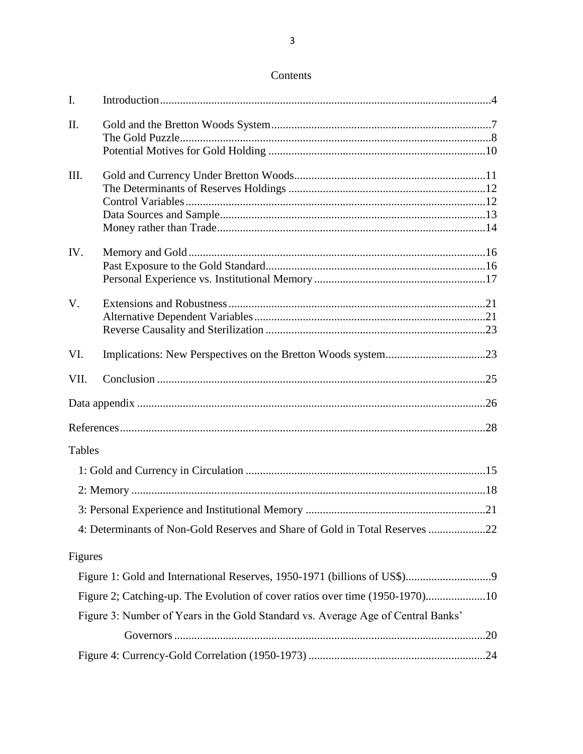| I.            |                                                                                  |  |
|---------------|----------------------------------------------------------------------------------|--|
| II.           |                                                                                  |  |
|               |                                                                                  |  |
|               |                                                                                  |  |
| III.          |                                                                                  |  |
|               |                                                                                  |  |
|               |                                                                                  |  |
|               |                                                                                  |  |
|               |                                                                                  |  |
| IV.           |                                                                                  |  |
|               |                                                                                  |  |
|               |                                                                                  |  |
| $V_{\cdot}$   |                                                                                  |  |
|               |                                                                                  |  |
|               |                                                                                  |  |
| VI.           |                                                                                  |  |
| VII.          |                                                                                  |  |
|               |                                                                                  |  |
|               |                                                                                  |  |
| <b>Tables</b> |                                                                                  |  |
|               |                                                                                  |  |
|               |                                                                                  |  |
|               |                                                                                  |  |
|               | 4: Determinants of Non-Gold Reserves and Share of Gold in Total Reserves 22      |  |
| Figures       |                                                                                  |  |
|               |                                                                                  |  |
|               | Figure 2; Catching-up. The Evolution of cover ratios over time (1950-1970)10     |  |
|               | Figure 3: Number of Years in the Gold Standard vs. Average Age of Central Banks' |  |
|               |                                                                                  |  |
|               |                                                                                  |  |

### Contents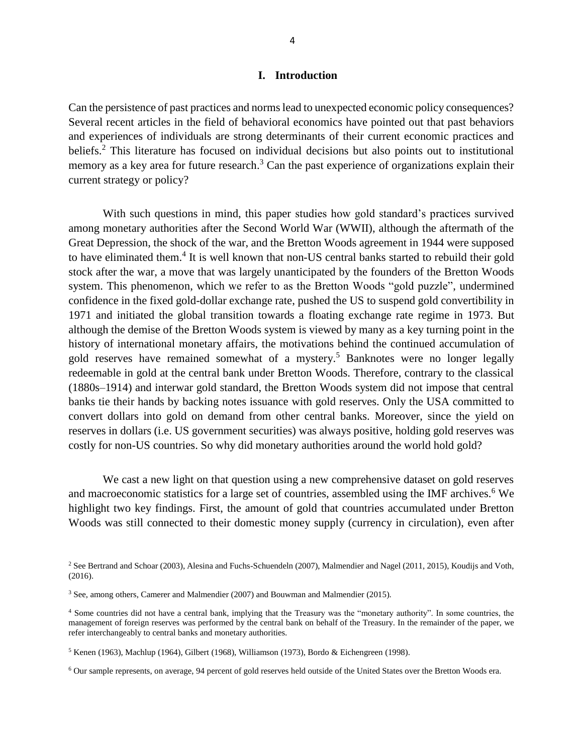#### **I. Introduction**

Can the persistence of past practices and norms lead to unexpected economic policy consequences? Several recent articles in the field of behavioral economics have pointed out that past behaviors and experiences of individuals are strong determinants of their current economic practices and beliefs.<sup>2</sup> This literature has focused on individual decisions but also points out to institutional memory as a key area for future research.<sup>3</sup> Can the past experience of organizations explain their current strategy or policy?

With such questions in mind, this paper studies how gold standard's practices survived among monetary authorities after the Second World War (WWII), although the aftermath of the Great Depression, the shock of the war, and the Bretton Woods agreement in 1944 were supposed to have eliminated them.<sup>4</sup> It is well known that non-US central banks started to rebuild their gold stock after the war, a move that was largely unanticipated by the founders of the Bretton Woods system. This phenomenon, which we refer to as the Bretton Woods "gold puzzle", undermined confidence in the fixed gold-dollar exchange rate, pushed the US to suspend gold convertibility in 1971 and initiated the global transition towards a floating exchange rate regime in 1973. But although the demise of the Bretton Woods system is viewed by many as a key turning point in the history of international monetary affairs, the motivations behind the continued accumulation of gold reserves have remained somewhat of a mystery. <sup>5</sup> Banknotes were no longer legally redeemable in gold at the central bank under Bretton Woods. Therefore, contrary to the classical (1880s–1914) and interwar gold standard, the Bretton Woods system did not impose that central banks tie their hands by backing notes issuance with gold reserves. Only the USA committed to convert dollars into gold on demand from other central banks. Moreover, since the yield on reserves in dollars (i.e. US government securities) was always positive, holding gold reserves was costly for non-US countries. So why did monetary authorities around the world hold gold?

We cast a new light on that question using a new comprehensive dataset on gold reserves and macroeconomic statistics for a large set of countries, assembled using the IMF archives.<sup>6</sup> We highlight two key findings. First, the amount of gold that countries accumulated under Bretton Woods was still connected to their domestic money supply (currency in circulation), even after

<sup>2</sup> See Bertrand and Schoar (2003), Alesina and Fuchs-Schuendeln (2007), Malmendier and Nagel (2011, 2015), Koudijs and Voth, (2016).

<sup>3</sup> See, among others, Camerer and Malmendier (2007) and Bouwman and Malmendier (2015).

<sup>4</sup> Some countries did not have a central bank, implying that the Treasury was the "monetary authority". In some countries, the management of foreign reserves was performed by the central bank on behalf of the Treasury. In the remainder of the paper, we refer interchangeably to central banks and monetary authorities.

<sup>5</sup> Kenen (1963), Machlup (1964), Gilbert (1968), Williamson (1973), Bordo & Eichengreen (1998).

<sup>6</sup> Our sample represents, on average, 94 percent of gold reserves held outside of the United States over the Bretton Woods era.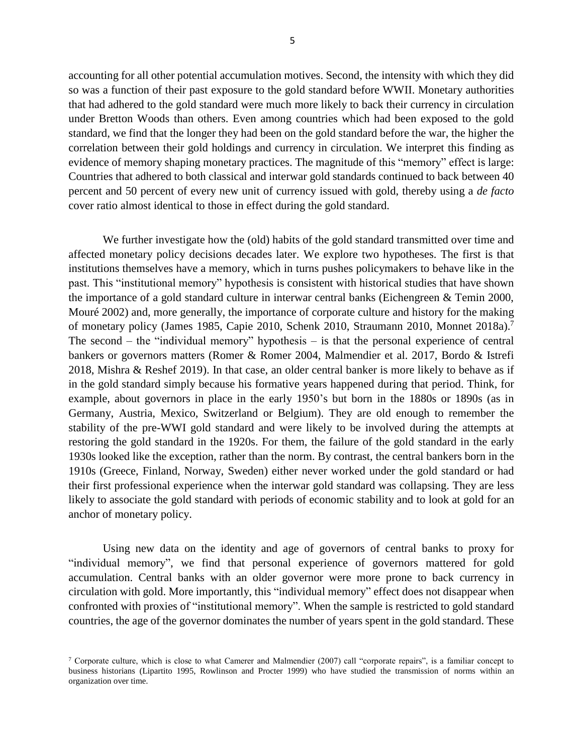accounting for all other potential accumulation motives. Second, the intensity with which they did so was a function of their past exposure to the gold standard before WWII. Monetary authorities that had adhered to the gold standard were much more likely to back their currency in circulation under Bretton Woods than others. Even among countries which had been exposed to the gold standard, we find that the longer they had been on the gold standard before the war, the higher the correlation between their gold holdings and currency in circulation. We interpret this finding as evidence of memory shaping monetary practices. The magnitude of this "memory" effect is large: Countries that adhered to both classical and interwar gold standards continued to back between 40 percent and 50 percent of every new unit of currency issued with gold, thereby using a *de facto* cover ratio almost identical to those in effect during the gold standard.

We further investigate how the (old) habits of the gold standard transmitted over time and affected monetary policy decisions decades later. We explore two hypotheses. The first is that institutions themselves have a memory, which in turns pushes policymakers to behave like in the past. This "institutional memory" hypothesis is consistent with historical studies that have shown the importance of a gold standard culture in interwar central banks (Eichengreen & Temin 2000, Mouré 2002) and, more generally, the importance of corporate culture and history for the making of monetary policy (James 1985, Capie 2010, Schenk 2010, Straumann 2010, Monnet 2018a).<sup>7</sup> The second – the "individual memory" hypothesis – is that the personal experience of central bankers or governors matters (Romer & Romer 2004, Malmendier et al. 2017, Bordo & Istrefi 2018, Mishra & Reshef 2019). In that case, an older central banker is more likely to behave as if in the gold standard simply because his formative years happened during that period. Think, for example, about governors in place in the early 1950's but born in the 1880s or 1890s (as in Germany, Austria, Mexico, Switzerland or Belgium). They are old enough to remember the stability of the pre-WWI gold standard and were likely to be involved during the attempts at restoring the gold standard in the 1920s. For them, the failure of the gold standard in the early 1930s looked like the exception, rather than the norm. By contrast, the central bankers born in the 1910s (Greece, Finland, Norway, Sweden) either never worked under the gold standard or had their first professional experience when the interwar gold standard was collapsing. They are less likely to associate the gold standard with periods of economic stability and to look at gold for an anchor of monetary policy.

Using new data on the identity and age of governors of central banks to proxy for "individual memory", we find that personal experience of governors mattered for gold accumulation. Central banks with an older governor were more prone to back currency in circulation with gold. More importantly, this "individual memory" effect does not disappear when confronted with proxies of "institutional memory". When the sample is restricted to gold standard countries, the age of the governor dominates the number of years spent in the gold standard. These

<sup>&</sup>lt;sup>7</sup> Corporate culture, which is close to what Camerer and Malmendier (2007) call "corporate repairs", is a familiar concept to business historians (Lipartito 1995, Rowlinson and Procter 1999) who have studied the transmission of norms within an organization over time.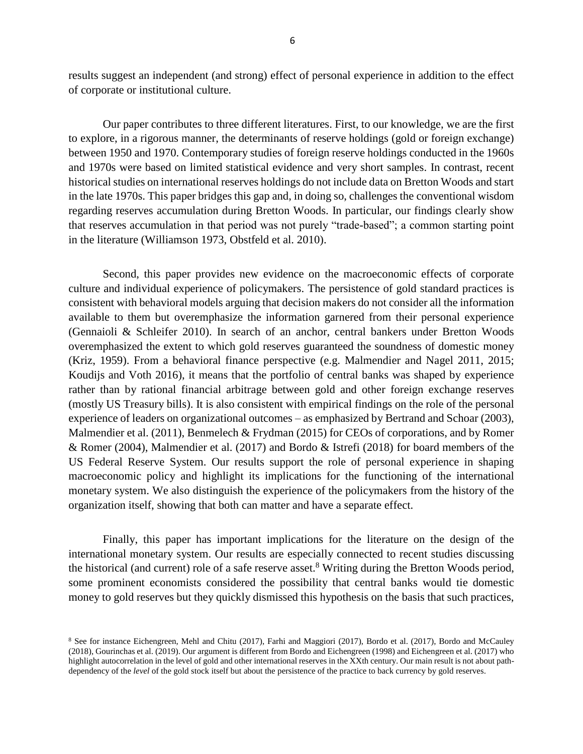results suggest an independent (and strong) effect of personal experience in addition to the effect of corporate or institutional culture.

Our paper contributes to three different literatures. First, to our knowledge, we are the first to explore, in a rigorous manner, the determinants of reserve holdings (gold or foreign exchange) between 1950 and 1970. Contemporary studies of foreign reserve holdings conducted in the 1960s and 1970s were based on limited statistical evidence and very short samples. In contrast, recent historical studies on international reserves holdings do not include data on Bretton Woods and start in the late 1970s. This paper bridges this gap and, in doing so, challenges the conventional wisdom regarding reserves accumulation during Bretton Woods. In particular, our findings clearly show that reserves accumulation in that period was not purely "trade-based"; a common starting point in the literature (Williamson 1973, Obstfeld et al. 2010).

Second, this paper provides new evidence on the macroeconomic effects of corporate culture and individual experience of policymakers. The persistence of gold standard practices is consistent with behavioral models arguing that decision makers do not consider all the information available to them but overemphasize the information garnered from their personal experience (Gennaioli & Schleifer 2010). In search of an anchor, central bankers under Bretton Woods overemphasized the extent to which gold reserves guaranteed the soundness of domestic money (Kriz, 1959). From a behavioral finance perspective (e.g. Malmendier and Nagel 2011, 2015; Koudijs and Voth 2016), it means that the portfolio of central banks was shaped by experience rather than by rational financial arbitrage between gold and other foreign exchange reserves (mostly US Treasury bills). It is also consistent with empirical findings on the role of the personal experience of leaders on organizational outcomes – as emphasized by Bertrand and Schoar (2003), Malmendier et al. (2011), Benmelech & Frydman (2015) for CEOs of corporations, and by Romer & Romer (2004), Malmendier et al. (2017) and Bordo & Istrefi (2018) for board members of the US Federal Reserve System. Our results support the role of personal experience in shaping macroeconomic policy and highlight its implications for the functioning of the international monetary system. We also distinguish the experience of the policymakers from the history of the organization itself, showing that both can matter and have a separate effect.

Finally, this paper has important implications for the literature on the design of the international monetary system. Our results are especially connected to recent studies discussing the historical (and current) role of a safe reserve asset.<sup>8</sup> Writing during the Bretton Woods period, some prominent economists considered the possibility that central banks would tie domestic money to gold reserves but they quickly dismissed this hypothesis on the basis that such practices,

<sup>8</sup> See for instance Eichengreen, Mehl and Chitu (2017), Farhi and Maggiori (2017), Bordo et al. (2017), Bordo and McCauley (2018), Gourinchas et al. (2019). Our argument is different from Bordo and Eichengreen (1998) and Eichengreen et al. (2017) who highlight autocorrelation in the level of gold and other international reserves in the XXth century. Our main result is not about pathdependency of the *level* of the gold stock itself but about the persistence of the practice to back currency by gold reserves.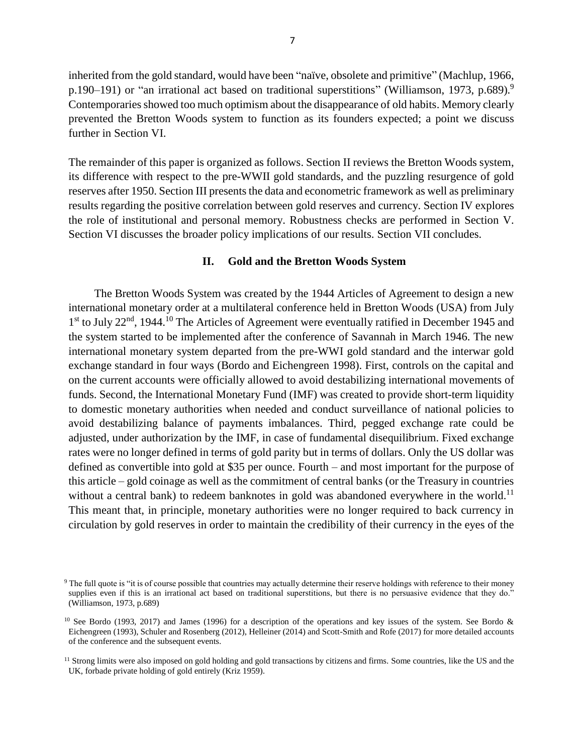inherited from the gold standard, would have been "naïve, obsolete and primitive" (Machlup, 1966, p.190–191) or "an irrational act based on traditional superstitions" (Williamson, 1973, p.689).<sup>9</sup> Contemporaries showed too much optimism about the disappearance of old habits. Memory clearly prevented the Bretton Woods system to function as its founders expected; a point we discuss further in Section VI.

The remainder of this paper is organized as follows. Section II reviews the Bretton Woods system, its difference with respect to the pre-WWII gold standards, and the puzzling resurgence of gold reserves after 1950. Section III presents the data and econometric framework as well as preliminary results regarding the positive correlation between gold reserves and currency. Section IV explores the role of institutional and personal memory. Robustness checks are performed in Section V. Section VI discusses the broader policy implications of our results. Section VII concludes.

#### **II. Gold and the Bretton Woods System**

The Bretton Woods System was created by the 1944 Articles of Agreement to design a new international monetary order at a multilateral conference held in Bretton Woods (USA) from July 1<sup>st</sup> to July 22<sup>nd</sup>, 1944.<sup>10</sup> The Articles of Agreement were eventually ratified in December 1945 and the system started to be implemented after the conference of Savannah in March 1946. The new international monetary system departed from the pre-WWI gold standard and the interwar gold exchange standard in four ways (Bordo and Eichengreen 1998). First, controls on the capital and on the current accounts were officially allowed to avoid destabilizing international movements of funds. Second, the International Monetary Fund (IMF) was created to provide short-term liquidity to domestic monetary authorities when needed and conduct surveillance of national policies to avoid destabilizing balance of payments imbalances. Third, pegged exchange rate could be adjusted, under authorization by the IMF, in case of fundamental disequilibrium. Fixed exchange rates were no longer defined in terms of gold parity but in terms of dollars. Only the US dollar was defined as convertible into gold at \$35 per ounce. Fourth – and most important for the purpose of this article – gold coinage as well as the commitment of central banks (or the Treasury in countries without a central bank) to redeem banknotes in gold was abandoned everywhere in the world.<sup>11</sup> This meant that, in principle, monetary authorities were no longer required to back currency in circulation by gold reserves in order to maintain the credibility of their currency in the eyes of the

 $9$  The full quote is "it is of course possible that countries may actually determine their reserve holdings with reference to their money supplies even if this is an irrational act based on traditional superstitions, but there is no persuasive evidence that they do." (Williamson, 1973, p.689)

<sup>&</sup>lt;sup>10</sup> See Bordo (1993, 2017) and James (1996) for a description of the operations and key issues of the system. See Bordo  $\&$ Eichengreen (1993), Schuler and Rosenberg (2012), Helleiner (2014) and Scott-Smith and Rofe (2017) for more detailed accounts of the conference and the subsequent events.

<sup>&</sup>lt;sup>11</sup> Strong limits were also imposed on gold holding and gold transactions by citizens and firms. Some countries, like the US and the UK, forbade private holding of gold entirely (Kriz 1959).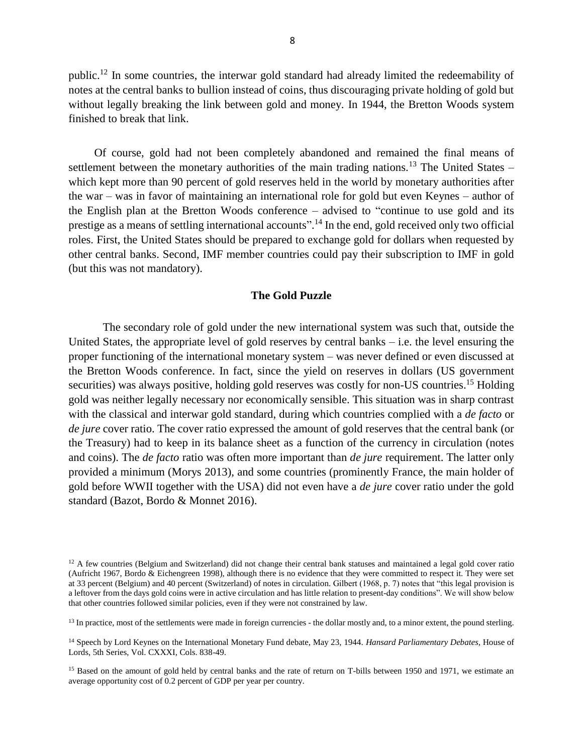public.<sup>12</sup> In some countries, the interwar gold standard had already limited the redeemability of notes at the central banks to bullion instead of coins, thus discouraging private holding of gold but without legally breaking the link between gold and money. In 1944, the Bretton Woods system finished to break that link.

Of course, gold had not been completely abandoned and remained the final means of settlement between the monetary authorities of the main trading nations.<sup>13</sup> The United States – which kept more than 90 percent of gold reserves held in the world by monetary authorities after the war – was in favor of maintaining an international role for gold but even Keynes – author of the English plan at the Bretton Woods conference – advised to "continue to use gold and its prestige as a means of settling international accounts".<sup>14</sup> In the end, gold received only two official roles. First, the United States should be prepared to exchange gold for dollars when requested by other central banks. Second, IMF member countries could pay their subscription to IMF in gold (but this was not mandatory).

#### **The Gold Puzzle**

The secondary role of gold under the new international system was such that, outside the United States, the appropriate level of gold reserves by central banks – i.e. the level ensuring the proper functioning of the international monetary system – was never defined or even discussed at the Bretton Woods conference. In fact, since the yield on reserves in dollars (US government securities) was always positive, holding gold reserves was costly for non-US countries.<sup>15</sup> Holding gold was neither legally necessary nor economically sensible. This situation was in sharp contrast with the classical and interwar gold standard, during which countries complied with a *de facto* or *de jure* cover ratio. The cover ratio expressed the amount of gold reserves that the central bank (or the Treasury) had to keep in its balance sheet as a function of the currency in circulation (notes and coins). The *de facto* ratio was often more important than *de jure* requirement. The latter only provided a minimum (Morys 2013), and some countries (prominently France, the main holder of gold before WWII together with the USA) did not even have a *de jure* cover ratio under the gold standard (Bazot, Bordo & Monnet 2016).

 $12$  A few countries (Belgium and Switzerland) did not change their central bank statuses and maintained a legal gold cover ratio (Aufricht 1967, Bordo & Eichengreen 1998), although there is no evidence that they were committed to respect it. They were set at 33 percent (Belgium) and 40 percent (Switzerland) of notes in circulation. Gilbert (1968, p. 7) notes that "this legal provision is a leftover from the days gold coins were in active circulation and has little relation to present-day conditions". We will show below that other countries followed similar policies, even if they were not constrained by law.

<sup>&</sup>lt;sup>13</sup> In practice, most of the settlements were made in foreign currencies - the dollar mostly and, to a minor extent, the pound sterling.

<sup>14</sup> Speech by Lord Keynes on the International Monetary Fund debate, May 23, 1944. *Hansard Parliamentary Debates,* House of Lords, 5th Series, Vol. CXXXI, Cols. 838-49.

<sup>&</sup>lt;sup>15</sup> Based on the amount of gold held by central banks and the rate of return on T-bills between 1950 and 1971, we estimate an average opportunity cost of 0.2 percent of GDP per year per country.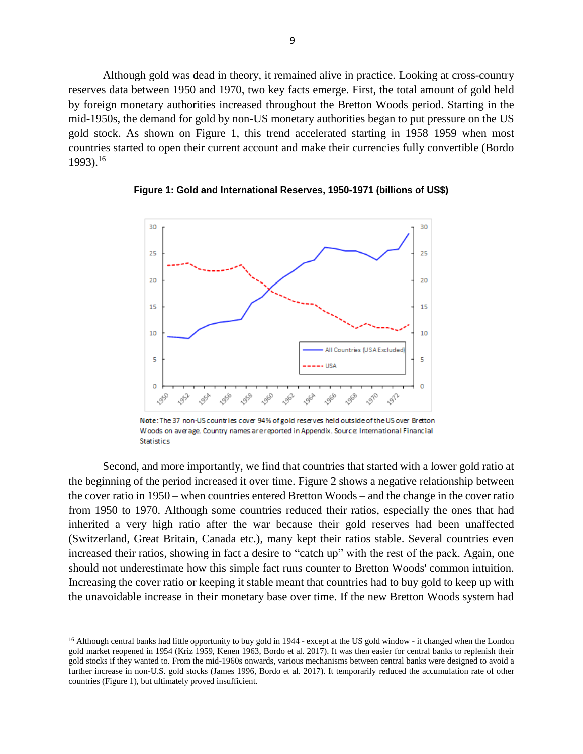Although gold was dead in theory, it remained alive in practice. Looking at cross-country reserves data between 1950 and 1970, two key facts emerge. First, the total amount of gold held by foreign monetary authorities increased throughout the Bretton Woods period. Starting in the mid-1950s, the demand for gold by non-US monetary authorities began to put pressure on the US gold stock. As shown on Figure 1, this trend accelerated starting in 1958–1959 when most countries started to open their current account and make their currencies fully convertible (Bordo 1993).<sup>16</sup>



**Figure 1: Gold and International Reserves, 1950-1971 (billions of US\$)**

Note: The 37 non-US countries cover 94% of gold reserves held outside of the US over Bretton Woods on average. Country names are reported in Appendix. Source: International Financial **Statistics** 

Second, and more importantly, we find that countries that started with a lower gold ratio at the beginning of the period increased it over time. Figure 2 shows a negative relationship between the cover ratio in 1950 – when countries entered Bretton Woods – and the change in the cover ratio from 1950 to 1970. Although some countries reduced their ratios, especially the ones that had inherited a very high ratio after the war because their gold reserves had been unaffected (Switzerland, Great Britain, Canada etc.), many kept their ratios stable. Several countries even increased their ratios, showing in fact a desire to "catch up" with the rest of the pack. Again, one should not underestimate how this simple fact runs counter to Bretton Woods' common intuition. Increasing the cover ratio or keeping it stable meant that countries had to buy gold to keep up with the unavoidable increase in their monetary base over time. If the new Bretton Woods system had

<sup>&</sup>lt;sup>16</sup> Although central banks had little opportunity to buy gold in 1944 - except at the US gold window - it changed when the London gold market reopened in 1954 (Kriz 1959, Kenen 1963, Bordo et al. 2017). It was then easier for central banks to replenish their gold stocks if they wanted to. From the mid-1960s onwards, various mechanisms between central banks were designed to avoid a further increase in non-U.S. gold stocks (James 1996, Bordo et al. 2017). It temporarily reduced the accumulation rate of other countries (Figure 1), but ultimately proved insufficient.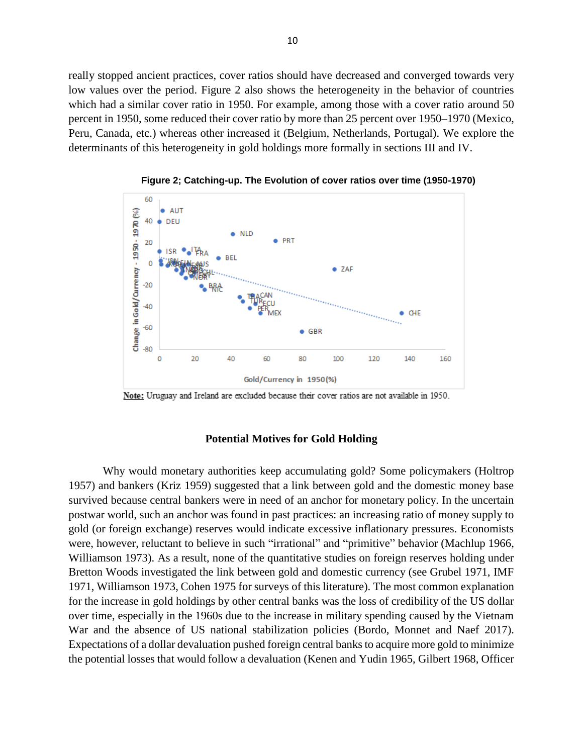really stopped ancient practices, cover ratios should have decreased and converged towards very low values over the period. Figure 2 also shows the heterogeneity in the behavior of countries which had a similar cover ratio in 1950. For example, among those with a cover ratio around 50 percent in 1950, some reduced their cover ratio by more than 25 percent over 1950–1970 (Mexico, Peru, Canada, etc.) whereas other increased it (Belgium, Netherlands, Portugal). We explore the determinants of this heterogeneity in gold holdings more formally in sections III and IV.



**Figure 2; Catching-up. The Evolution of cover ratios over time (1950-1970)**

Note: Uruguay and Ireland are excluded because their cover ratios are not available in 1950.

#### **Potential Motives for Gold Holding**

Why would monetary authorities keep accumulating gold? Some policymakers (Holtrop 1957) and bankers (Kriz 1959) suggested that a link between gold and the domestic money base survived because central bankers were in need of an anchor for monetary policy. In the uncertain postwar world, such an anchor was found in past practices: an increasing ratio of money supply to gold (or foreign exchange) reserves would indicate excessive inflationary pressures. Economists were, however, reluctant to believe in such "irrational" and "primitive" behavior (Machlup 1966, Williamson 1973). As a result, none of the quantitative studies on foreign reserves holding under Bretton Woods investigated the link between gold and domestic currency (see Grubel 1971, IMF 1971, Williamson 1973, Cohen 1975 for surveys of this literature). The most common explanation for the increase in gold holdings by other central banks was the loss of credibility of the US dollar over time, especially in the 1960s due to the increase in military spending caused by the Vietnam War and the absence of US national stabilization policies (Bordo, Monnet and Naef 2017). Expectations of a dollar devaluation pushed foreign central banks to acquire more gold to minimize the potential losses that would follow a devaluation (Kenen and Yudin 1965, Gilbert 1968, Officer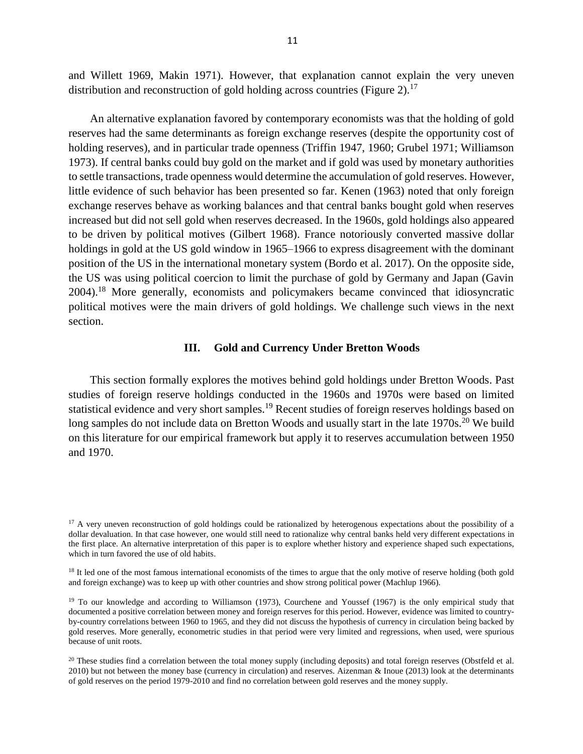and Willett 1969, Makin 1971). However, that explanation cannot explain the very uneven distribution and reconstruction of gold holding across countries (Figure 2).<sup>17</sup>

An alternative explanation favored by contemporary economists was that the holding of gold reserves had the same determinants as foreign exchange reserves (despite the opportunity cost of holding reserves), and in particular trade openness (Triffin 1947, 1960; Grubel 1971; Williamson 1973). If central banks could buy gold on the market and if gold was used by monetary authorities to settle transactions, trade openness would determine the accumulation of gold reserves. However, little evidence of such behavior has been presented so far. Kenen (1963) noted that only foreign exchange reserves behave as working balances and that central banks bought gold when reserves increased but did not sell gold when reserves decreased. In the 1960s, gold holdings also appeared to be driven by political motives (Gilbert 1968). France notoriously converted massive dollar holdings in gold at the US gold window in 1965–1966 to express disagreement with the dominant position of the US in the international monetary system (Bordo et al. 2017). On the opposite side, the US was using political coercion to limit the purchase of gold by Germany and Japan (Gavin 2004).<sup>18</sup> More generally, economists and policymakers became convinced that idiosyncratic political motives were the main drivers of gold holdings. We challenge such views in the next section.

#### **III. Gold and Currency Under Bretton Woods**

This section formally explores the motives behind gold holdings under Bretton Woods. Past studies of foreign reserve holdings conducted in the 1960s and 1970s were based on limited statistical evidence and very short samples.<sup>19</sup> Recent studies of foreign reserves holdings based on long samples do not include data on Bretton Woods and usually start in the late 1970s.<sup>20</sup> We build on this literature for our empirical framework but apply it to reserves accumulation between 1950 and 1970.

<sup>&</sup>lt;sup>17</sup> A very uneven reconstruction of gold holdings could be rationalized by heterogenous expectations about the possibility of a dollar devaluation. In that case however, one would still need to rationalize why central banks held very different expectations in the first place. An alternative interpretation of this paper is to explore whether history and experience shaped such expectations, which in turn favored the use of old habits.

<sup>&</sup>lt;sup>18</sup> It led one of the most famous international economists of the times to argue that the only motive of reserve holding (both gold and foreign exchange) was to keep up with other countries and show strong political power (Machlup 1966).

<sup>&</sup>lt;sup>19</sup> To our knowledge and according to Williamson (1973), Courchene and Youssef (1967) is the only empirical study that documented a positive correlation between money and foreign reserves for this period. However, evidence was limited to countryby-country correlations between 1960 to 1965, and they did not discuss the hypothesis of currency in circulation being backed by gold reserves. More generally, econometric studies in that period were very limited and regressions, when used, were spurious because of unit roots.

 $20$  These studies find a correlation between the total money supply (including deposits) and total foreign reserves (Obstfeld et al. 2010) but not between the money base (currency in circulation) and reserves. Aizenman & Inoue (2013) look at the determinants of gold reserves on the period 1979-2010 and find no correlation between gold reserves and the money supply.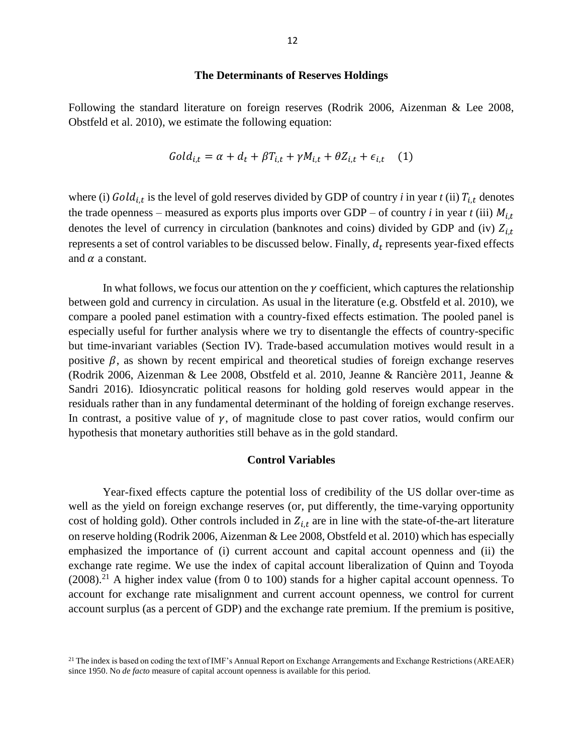#### **The Determinants of Reserves Holdings**

Following the standard literature on foreign reserves (Rodrik 2006, Aizenman & Lee 2008, Obstfeld et al. 2010), we estimate the following equation:

$$
Gold_{i,t} = \alpha + d_t + \beta T_{i,t} + \gamma M_{i,t} + \theta Z_{i,t} + \epsilon_{i,t} \quad (1)
$$

where (i)  $Gold_{i,t}$  is the level of gold reserves divided by GDP of country *i* in year *t* (ii)  $T_{i,t}$  denotes the trade openness – measured as exports plus imports over GDP – of country *i* in year *t* (iii)  $M_{i,t}$ denotes the level of currency in circulation (banknotes and coins) divided by GDP and (iv)  $Z_{i,t}$ represents a set of control variables to be discussed below. Finally,  $d_t$  represents year-fixed effects and  $\alpha$  a constant.

In what follows, we focus our attention on the  $\gamma$  coefficient, which captures the relationship between gold and currency in circulation. As usual in the literature (e.g. Obstfeld et al. 2010), we compare a pooled panel estimation with a country-fixed effects estimation. The pooled panel is especially useful for further analysis where we try to disentangle the effects of country-specific but time-invariant variables (Section IV). Trade-based accumulation motives would result in a positive  $\beta$ , as shown by recent empirical and theoretical studies of foreign exchange reserves (Rodrik 2006, Aizenman & Lee 2008, Obstfeld et al. 2010, Jeanne & Rancière 2011, Jeanne & Sandri 2016). Idiosyncratic political reasons for holding gold reserves would appear in the residuals rather than in any fundamental determinant of the holding of foreign exchange reserves. In contrast, a positive value of  $\gamma$ , of magnitude close to past cover ratios, would confirm our hypothesis that monetary authorities still behave as in the gold standard.

#### **Control Variables**

Year-fixed effects capture the potential loss of credibility of the US dollar over-time as well as the yield on foreign exchange reserves (or, put differently, the time-varying opportunity cost of holding gold). Other controls included in  $Z_{i,t}$  are in line with the state-of-the-art literature on reserve holding (Rodrik 2006, Aizenman & Lee 2008, Obstfeld et al. 2010) which has especially emphasized the importance of (i) current account and capital account openness and (ii) the exchange rate regime. We use the index of capital account liberalization of Quinn and Toyoda  $(2008).<sup>21</sup>$  A higher index value (from 0 to 100) stands for a higher capital account openness. To account for exchange rate misalignment and current account openness, we control for current account surplus (as a percent of GDP) and the exchange rate premium. If the premium is positive,

<sup>&</sup>lt;sup>21</sup> The index is based on coding the text of IMF's Annual Report on Exchange Arrangements and Exchange Restrictions (AREAER) since 1950. No *de facto* measure of capital account openness is available for this period.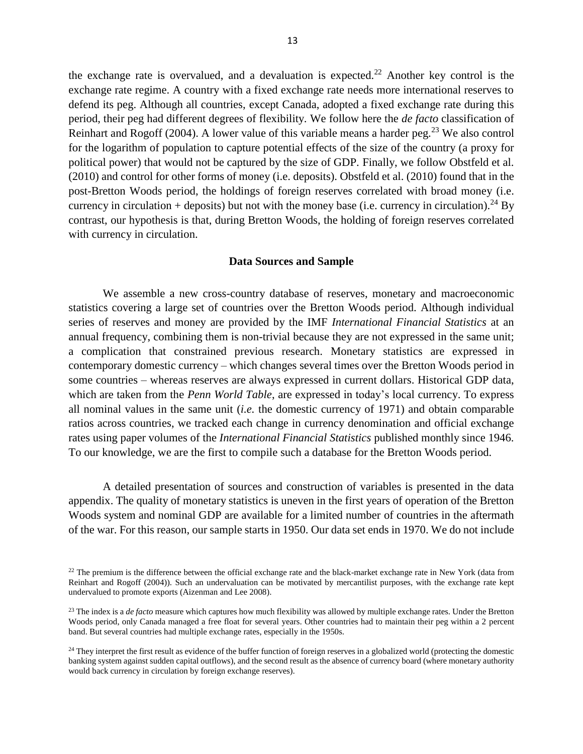the exchange rate is overvalued, and a devaluation is expected.<sup>22</sup> Another key control is the exchange rate regime. A country with a fixed exchange rate needs more international reserves to defend its peg. Although all countries, except Canada, adopted a fixed exchange rate during this period, their peg had different degrees of flexibility. We follow here the *de facto* classification of Reinhart and Rogoff (2004). A lower value of this variable means a harder peg.<sup>23</sup> We also control for the logarithm of population to capture potential effects of the size of the country (a proxy for political power) that would not be captured by the size of GDP. Finally, we follow Obstfeld et al. (2010) and control for other forms of money (i.e. deposits). Obstfeld et al. (2010) found that in the post-Bretton Woods period, the holdings of foreign reserves correlated with broad money (i.e. currency in circulation + deposits) but not with the money base (i.e. currency in circulation).<sup>24</sup> By contrast, our hypothesis is that, during Bretton Woods, the holding of foreign reserves correlated with currency in circulation.

#### **Data Sources and Sample**

We assemble a new cross-country database of reserves, monetary and macroeconomic statistics covering a large set of countries over the Bretton Woods period. Although individual series of reserves and money are provided by the IMF *International Financial Statistics* at an annual frequency, combining them is non-trivial because they are not expressed in the same unit; a complication that constrained previous research. Monetary statistics are expressed in contemporary domestic currency – which changes several times over the Bretton Woods period in some countries – whereas reserves are always expressed in current dollars. Historical GDP data, which are taken from the *Penn World Table*, are expressed in today's local currency. To express all nominal values in the same unit (*i.e.* the domestic currency of 1971) and obtain comparable ratios across countries, we tracked each change in currency denomination and official exchange rates using paper volumes of the *International Financial Statistics* published monthly since 1946. To our knowledge, we are the first to compile such a database for the Bretton Woods period.

A detailed presentation of sources and construction of variables is presented in the data appendix. The quality of monetary statistics is uneven in the first years of operation of the Bretton Woods system and nominal GDP are available for a limited number of countries in the aftermath of the war. For this reason, our sample starts in 1950. Our data set ends in 1970. We do not include

 $22$  The premium is the difference between the official exchange rate and the black-market exchange rate in New York (data from Reinhart and Rogoff (2004)). Such an undervaluation can be motivated by mercantilist purposes, with the exchange rate kept undervalued to promote exports (Aizenman and Lee 2008).

<sup>&</sup>lt;sup>23</sup> The index is a *de facto* measure which captures how much flexibility was allowed by multiple exchange rates. Under the Bretton Woods period, only Canada managed a free float for several years. Other countries had to maintain their peg within a 2 percent band. But several countries had multiple exchange rates, especially in the 1950s.

<sup>&</sup>lt;sup>24</sup> They interpret the first result as evidence of the buffer function of foreign reserves in a globalized world (protecting the domestic banking system against sudden capital outflows), and the second result as the absence of currency board (where monetary authority would back currency in circulation by foreign exchange reserves).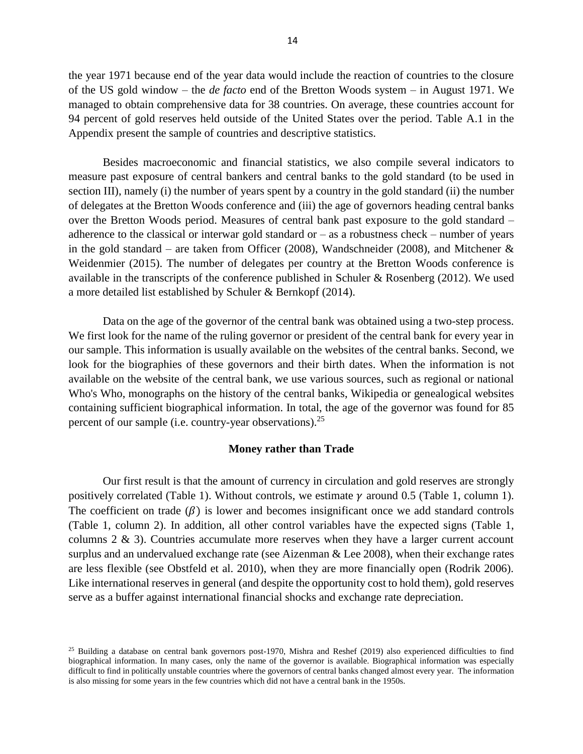the year 1971 because end of the year data would include the reaction of countries to the closure of the US gold window – the *de facto* end of the Bretton Woods system – in August 1971. We managed to obtain comprehensive data for 38 countries. On average, these countries account for 94 percent of gold reserves held outside of the United States over the period. Table A.1 in the Appendix present the sample of countries and descriptive statistics.

Besides macroeconomic and financial statistics, we also compile several indicators to measure past exposure of central bankers and central banks to the gold standard (to be used in section III), namely (i) the number of years spent by a country in the gold standard (ii) the number of delegates at the Bretton Woods conference and (iii) the age of governors heading central banks over the Bretton Woods period. Measures of central bank past exposure to the gold standard – adherence to the classical or interwar gold standard or  $-$  as a robustness check  $-$  number of years in the gold standard – are taken from Officer (2008), Wandschneider (2008), and Mitchener  $\&$ Weidenmier (2015). The number of delegates per country at the Bretton Woods conference is available in the transcripts of the conference published in Schuler & Rosenberg (2012). We used a more detailed list established by Schuler & Bernkopf (2014).

Data on the age of the governor of the central bank was obtained using a two-step process. We first look for the name of the ruling governor or president of the central bank for every year in our sample. This information is usually available on the websites of the central banks. Second, we look for the biographies of these governors and their birth dates. When the information is not available on the website of the central bank, we use various sources, such as regional or national Who's Who, monographs on the history of the central banks, Wikipedia or genealogical websites containing sufficient biographical information. In total, the age of the governor was found for 85 percent of our sample (i.e. country-year observations).<sup>25</sup>

#### **Money rather than Trade**

Our first result is that the amount of currency in circulation and gold reserves are strongly positively correlated (Table 1). Without controls, we estimate  $\gamma$  around 0.5 (Table 1, column 1). The coefficient on trade  $(\beta)$  is lower and becomes insignificant once we add standard controls (Table 1, column 2). In addition, all other control variables have the expected signs (Table 1, columns  $2 \& 3$ ). Countries accumulate more reserves when they have a larger current account surplus and an undervalued exchange rate (see Aizenman & Lee 2008), when their exchange rates are less flexible (see Obstfeld et al. 2010), when they are more financially open (Rodrik 2006). Like international reserves in general (and despite the opportunity cost to hold them), gold reserves serve as a buffer against international financial shocks and exchange rate depreciation.

 $25$  Building a database on central bank governors post-1970, Mishra and Reshef (2019) also experienced difficulties to find biographical information. In many cases, only the name of the governor is available. Biographical information was especially difficult to find in politically unstable countries where the governors of central banks changed almost every year. The information is also missing for some years in the few countries which did not have a central bank in the 1950s.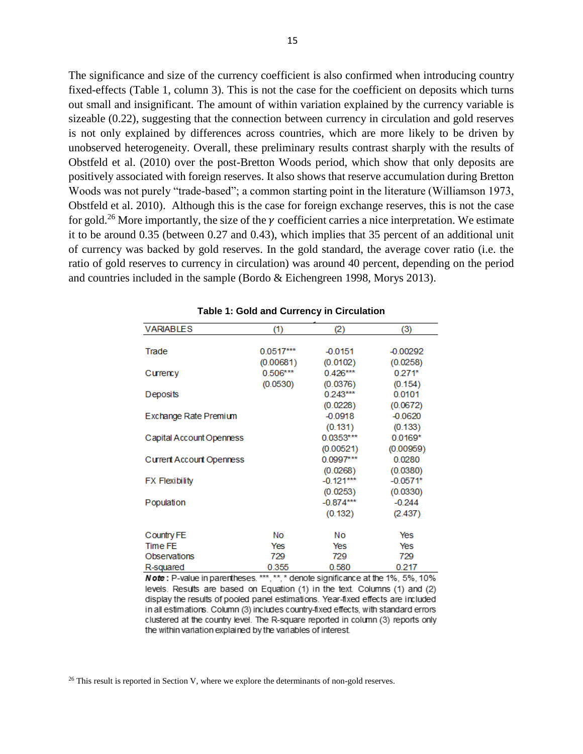The significance and size of the currency coefficient is also confirmed when introducing country fixed-effects (Table 1, column 3). This is not the case for the coefficient on deposits which turns out small and insignificant. The amount of within variation explained by the currency variable is sizeable (0.22), suggesting that the connection between currency in circulation and gold reserves is not only explained by differences across countries, which are more likely to be driven by unobserved heterogeneity. Overall, these preliminary results contrast sharply with the results of Obstfeld et al. (2010) over the post-Bretton Woods period, which show that only deposits are positively associated with foreign reserves. It also shows that reserve accumulation during Bretton Woods was not purely "trade-based"; a common starting point in the literature (Williamson 1973, Obstfeld et al. 2010). Although this is the case for foreign exchange reserves, this is not the case for gold.<sup>26</sup> More importantly, the size of the  $\gamma$  coefficient carries a nice interpretation. We estimate it to be around 0.35 (between 0.27 and 0.43), which implies that 35 percent of an additional unit of currency was backed by gold reserves. In the gold standard, the average cover ratio (i.e. the ratio of gold reserves to currency in circulation) was around 40 percent, depending on the period and countries included in the sample (Bordo & Eichengreen 1998, Morys 2013).

| <b>VARIABLES</b>                | (1)         | (2)         | (3)        |
|---------------------------------|-------------|-------------|------------|
|                                 |             |             |            |
| Trade                           | $0.0517***$ | $-0.0151$   | $-0.00292$ |
|                                 | (0.00681)   | (0.0102)    | (0.0258)   |
| Currency                        | $0.506***$  | $0.426***$  | $0.271*$   |
|                                 | (0.0530)    | (0.0376)    | (0.154)    |
| Deposits                        |             | $0.243***$  | 0.0101     |
|                                 |             | (0.0228)    | (0.0672)   |
| Exchange Rate Premium           |             | $-0.0918$   | $-0.0620$  |
|                                 |             | (0.131)     | (0.133)    |
| Capital Account Openness        |             | $0.0353***$ | $0.0169*$  |
|                                 |             | (0.00521)   | (0.00959)  |
| <b>Current Account Openness</b> |             | $0.0997***$ | 0.0280     |
|                                 |             | (0.0268)    | (0.0380)   |
| <b>FX Flexibility</b>           |             | $-0.121***$ | $-0.0571*$ |
|                                 |             | (0.0253)    | (0.0330)   |
| Population                      |             | $-0.874***$ | $-0.244$   |
|                                 |             | (0.132)     | (2.437)    |
| Country FE                      | No          | No          | Yes        |
| Time FE                         | Yes         | Yes         | Yes        |
| Observations                    | 729         | 729         | 729        |
| R-squared                       | 0.355       | 0.580       | 0.217      |

|  |  |  |  | <b>Table 1: Gold and Currency in Circulation</b> |
|--|--|--|--|--------------------------------------------------|
|--|--|--|--|--------------------------------------------------|

Note: P-value in parentheses. \*\*\*, \*\*, \* denote significance at the 1%, 5%, 10% levels. Results are based on Equation (1) in the text. Columns (1) and (2) display the results of pooled panel estimations. Year-fixed effects are included in all estimations. Column (3) includes country-fixed effects, with standard errors clustered at the country level. The R-square reported in column (3) reports only the within variation explained by the variables of interest

 $26$  This result is reported in Section V, where we explore the determinants of non-gold reserves.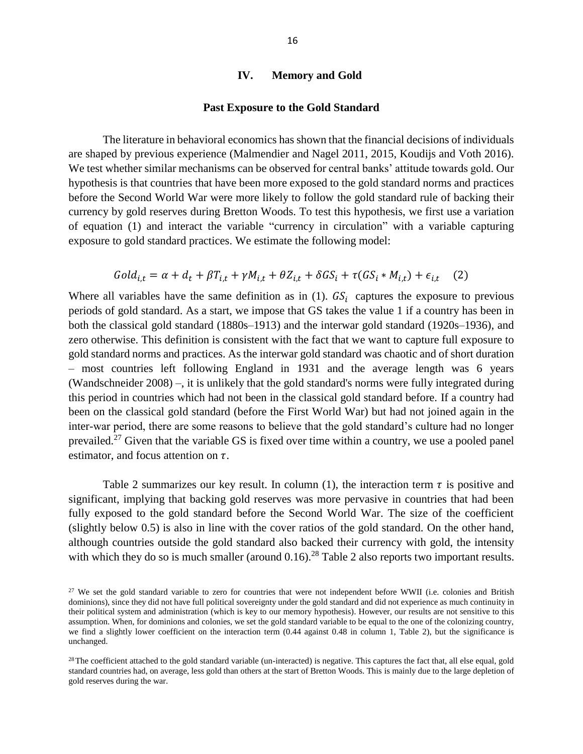#### **IV. Memory and Gold**

#### **Past Exposure to the Gold Standard**

The literature in behavioral economics has shown that the financial decisions of individuals are shaped by previous experience (Malmendier and Nagel 2011, 2015, Koudijs and Voth 2016). We test whether similar mechanisms can be observed for central banks' attitude towards gold. Our hypothesis is that countries that have been more exposed to the gold standard norms and practices before the Second World War were more likely to follow the gold standard rule of backing their currency by gold reserves during Bretton Woods. To test this hypothesis, we first use a variation of equation (1) and interact the variable "currency in circulation" with a variable capturing exposure to gold standard practices. We estimate the following model:

$$
Gold_{i,t} = \alpha + d_t + \beta T_{i,t} + \gamma M_{i,t} + \theta Z_{i,t} + \delta G S_i + \tau (G S_i * M_{i,t}) + \epsilon_{i,t} \quad (2)
$$

Where all variables have the same definition as in (1).  $GS_i$  captures the exposure to previous periods of gold standard. As a start, we impose that GS takes the value 1 if a country has been in both the classical gold standard (1880s–1913) and the interwar gold standard (1920s–1936), and zero otherwise. This definition is consistent with the fact that we want to capture full exposure to gold standard norms and practices. As the interwar gold standard was chaotic and of short duration – most countries left following England in 1931 and the average length was 6 years (Wandschneider 2008) –, it is unlikely that the gold standard's norms were fully integrated during this period in countries which had not been in the classical gold standard before. If a country had been on the classical gold standard (before the First World War) but had not joined again in the inter-war period, there are some reasons to believe that the gold standard's culture had no longer prevailed.<sup>27</sup> Given that the variable GS is fixed over time within a country, we use a pooled panel estimator, and focus attention on  $\tau$ .

Table 2 summarizes our key result. In column (1), the interaction term  $\tau$  is positive and significant, implying that backing gold reserves was more pervasive in countries that had been fully exposed to the gold standard before the Second World War. The size of the coefficient (slightly below 0.5) is also in line with the cover ratios of the gold standard. On the other hand, although countries outside the gold standard also backed their currency with gold, the intensity with which they do so is much smaller (around  $0.16$ )<sup>28</sup> Table 2 also reports two important results.

<sup>&</sup>lt;sup>27</sup> We set the gold standard variable to zero for countries that were not independent before WWII (i.e. colonies and British dominions), since they did not have full political sovereignty under the gold standard and did not experience as much continuity in their political system and administration (which is key to our memory hypothesis). However, our results are not sensitive to this assumption. When, for dominions and colonies, we set the gold standard variable to be equal to the one of the colonizing country, we find a slightly lower coefficient on the interaction term (0.44 against 0.48 in column 1, Table 2), but the significance is unchanged.

 $28$ The coefficient attached to the gold standard variable (un-interacted) is negative. This captures the fact that, all else equal, gold standard countries had, on average, less gold than others at the start of Bretton Woods. This is mainly due to the large depletion of gold reserves during the war.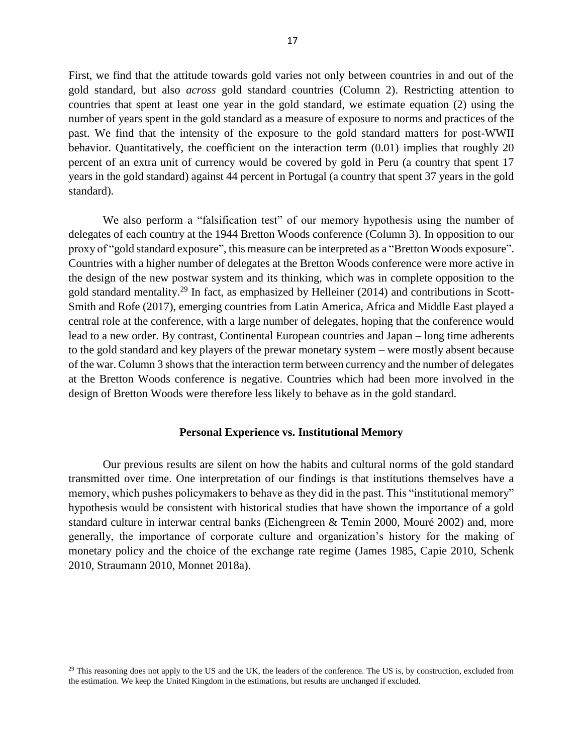First, we find that the attitude towards gold varies not only between countries in and out of the gold standard, but also *across* gold standard countries (Column 2). Restricting attention to countries that spent at least one year in the gold standard, we estimate equation (2) using the number of years spent in the gold standard as a measure of exposure to norms and practices of the past. We find that the intensity of the exposure to the gold standard matters for post-WWII behavior. Quantitatively, the coefficient on the interaction term  $(0.01)$  implies that roughly 20 percent of an extra unit of currency would be covered by gold in Peru (a country that spent 17 years in the gold standard) against 44 percent in Portugal (a country that spent 37 years in the gold standard).

We also perform a "falsification test" of our memory hypothesis using the number of delegates of each country at the 1944 Bretton Woods conference (Column 3). In opposition to our proxy of "gold standard exposure", this measure can be interpreted as a "Bretton Woods exposure". Countries with a higher number of delegates at the Bretton Woods conference were more active in the design of the new postwar system and its thinking, which was in complete opposition to the gold standard mentality.<sup>29</sup> In fact, as emphasized by Helleiner (2014) and contributions in Scott-Smith and Rofe (2017), emerging countries from Latin America, Africa and Middle East played a central role at the conference, with a large number of delegates, hoping that the conference would lead to a new order. By contrast, Continental European countries and Japan – long time adherents to the gold standard and key players of the prewar monetary system – were mostly absent because of the war. Column 3 shows that the interaction term between currency and the number of delegates at the Bretton Woods conference is negative. Countries which had been more involved in the design of Bretton Woods were therefore less likely to behave as in the gold standard.

#### **Personal Experience vs. Institutional Memory**

Our previous results are silent on how the habits and cultural norms of the gold standard transmitted over time. One interpretation of our findings is that institutions themselves have a memory, which pushes policymakers to behave as they did in the past. This "institutional memory" hypothesis would be consistent with historical studies that have shown the importance of a gold standard culture in interwar central banks (Eichengreen & Temin 2000, Mouré 2002) and, more generally, the importance of corporate culture and organization's history for the making of monetary policy and the choice of the exchange rate regime (James 1985, Capie 2010, Schenk 2010, Straumann 2010, Monnet 2018a).

 $^{29}$  This reasoning does not apply to the US and the UK, the leaders of the conference. The US is, by construction, excluded from the estimation. We keep the United Kingdom in the estimations, but results are unchanged if excluded.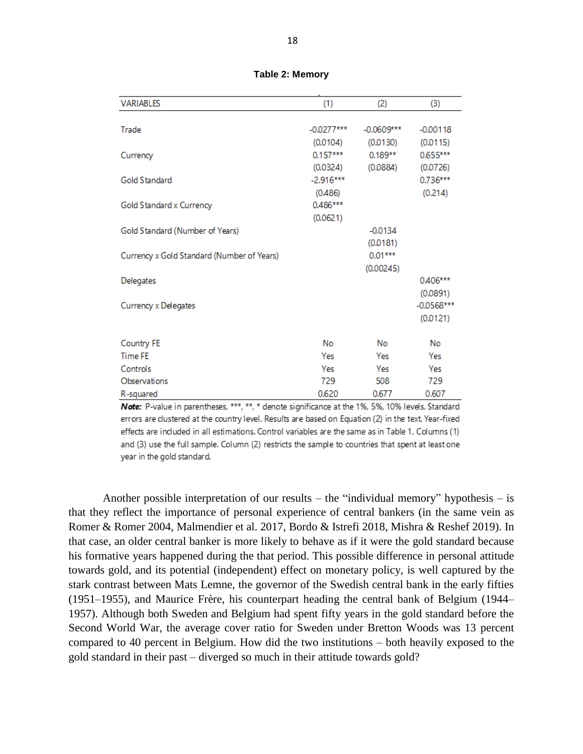| <b>VARIABLES</b>                           | (1)          | (2)          | (3)          |
|--------------------------------------------|--------------|--------------|--------------|
|                                            |              |              |              |
| Trade                                      | $-0.0277***$ | $-0.0609***$ | $-0.00118$   |
|                                            | (0.0104)     | (0.0130)     | (0.0115)     |
| Currency                                   | $0.157***$   | $0.189**$    | $0.655***$   |
|                                            | (0.0324)     | (0.0884)     | (0.0726)     |
| Gold Standard                              | $-2.916***$  |              | $0.736***$   |
|                                            | (0.486)      |              | (0.214)      |
| Gold Standard x Currency                   | 0.486***     |              |              |
|                                            | (0.0621)     |              |              |
| Gold Standard (Number of Years)            |              | $-0.0134$    |              |
|                                            |              | (0.0181)     |              |
| Currency x Gold Standard (Number of Years) |              | $0.01***$    |              |
|                                            |              | (0.00245)    |              |
| Delegates                                  |              |              | 0.406***     |
|                                            |              |              | (0.0891)     |
| Currency x Delegates                       |              |              | $-0.0568***$ |
|                                            |              |              | (0.0121)     |
| Country FE                                 | No           | No           | No           |
| <b>Time FE</b>                             | Yes          | Yes          | Yes          |
| Controls                                   | Yes          | Yes          | Yes          |
| Observations                               | 729          | 508          | 729          |
| R-squared                                  | 0.620        | 0.677        | 0.607        |

**Table 2: Memory**

Note: P-value in parentheses. \*\*\*, \*\*, \* denote significance at the 1%, 5%, 10% levels. Standard errors are clustered at the country level. Results are based on Equation (2) in the text. Year-fixed effects are included in all estimations. Control variables are the same as in Table 1. Columns (1) and (3) use the full sample. Column (2) restricts the sample to countries that spent at least one year in the gold standard.

Another possible interpretation of our results – the "individual memory" hypothesis – is that they reflect the importance of personal experience of central bankers (in the same vein as Romer & Romer 2004, Malmendier et al. 2017, Bordo & Istrefi 2018, Mishra & Reshef 2019). In that case, an older central banker is more likely to behave as if it were the gold standard because his formative years happened during the that period. This possible difference in personal attitude towards gold, and its potential (independent) effect on monetary policy, is well captured by the stark contrast between Mats Lemne, the governor of the Swedish central bank in the early fifties (1951–1955), and Maurice Frère, his counterpart heading the central bank of Belgium (1944– 1957). Although both Sweden and Belgium had spent fifty years in the gold standard before the Second World War, the average cover ratio for Sweden under Bretton Woods was 13 percent compared to 40 percent in Belgium. How did the two institutions – both heavily exposed to the gold standard in their past – diverged so much in their attitude towards gold?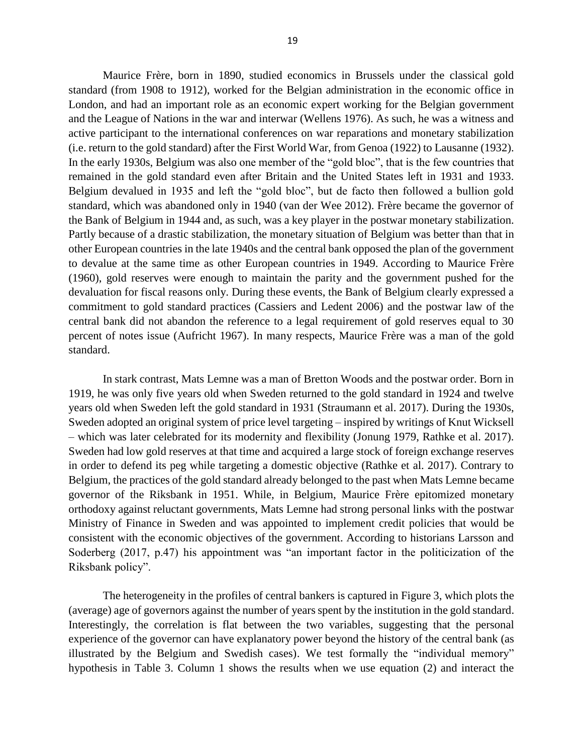Maurice Frère, born in 1890, studied economics in Brussels under the classical gold standard (from 1908 to 1912), worked for the Belgian administration in the economic office in London, and had an important role as an economic expert working for the Belgian government and the League of Nations in the war and interwar (Wellens 1976). As such, he was a witness and active participant to the international conferences on war reparations and monetary stabilization (i.e. return to the gold standard) after the First World War, from Genoa (1922) to Lausanne (1932). In the early 1930s, Belgium was also one member of the "gold bloc", that is the few countries that remained in the gold standard even after Britain and the United States left in 1931 and 1933. Belgium devalued in 1935 and left the "gold bloc", but de facto then followed a bullion gold standard, which was abandoned only in 1940 (van der Wee 2012). Frère became the governor of the Bank of Belgium in 1944 and, as such, was a key player in the postwar monetary stabilization. Partly because of a drastic stabilization, the monetary situation of Belgium was better than that in other European countries in the late 1940s and the central bank opposed the plan of the government to devalue at the same time as other European countries in 1949. According to Maurice Frère (1960), gold reserves were enough to maintain the parity and the government pushed for the devaluation for fiscal reasons only. During these events, the Bank of Belgium clearly expressed a commitment to gold standard practices (Cassiers and Ledent 2006) and the postwar law of the central bank did not abandon the reference to a legal requirement of gold reserves equal to 30 percent of notes issue (Aufricht 1967). In many respects, Maurice Frère was a man of the gold standard.

In stark contrast, Mats Lemne was a man of Bretton Woods and the postwar order. Born in 1919, he was only five years old when Sweden returned to the gold standard in 1924 and twelve years old when Sweden left the gold standard in 1931 (Straumann et al. 2017). During the 1930s, Sweden adopted an original system of price level targeting – inspired by writings of Knut Wicksell – which was later celebrated for its modernity and flexibility (Jonung 1979, Rathke et al. 2017). Sweden had low gold reserves at that time and acquired a large stock of foreign exchange reserves in order to defend its peg while targeting a domestic objective (Rathke et al. 2017). Contrary to Belgium, the practices of the gold standard already belonged to the past when Mats Lemne became governor of the Riksbank in 1951. While, in Belgium, Maurice Frère epitomized monetary orthodoxy against reluctant governments, Mats Lemne had strong personal links with the postwar Ministry of Finance in Sweden and was appointed to implement credit policies that would be consistent with the economic objectives of the government. According to historians Larsson and Soderberg (2017, p.47) his appointment was "an important factor in the politicization of the Riksbank policy".

The heterogeneity in the profiles of central bankers is captured in Figure 3, which plots the (average) age of governors against the number of years spent by the institution in the gold standard. Interestingly, the correlation is flat between the two variables, suggesting that the personal experience of the governor can have explanatory power beyond the history of the central bank (as illustrated by the Belgium and Swedish cases). We test formally the "individual memory" hypothesis in Table 3. Column 1 shows the results when we use equation (2) and interact the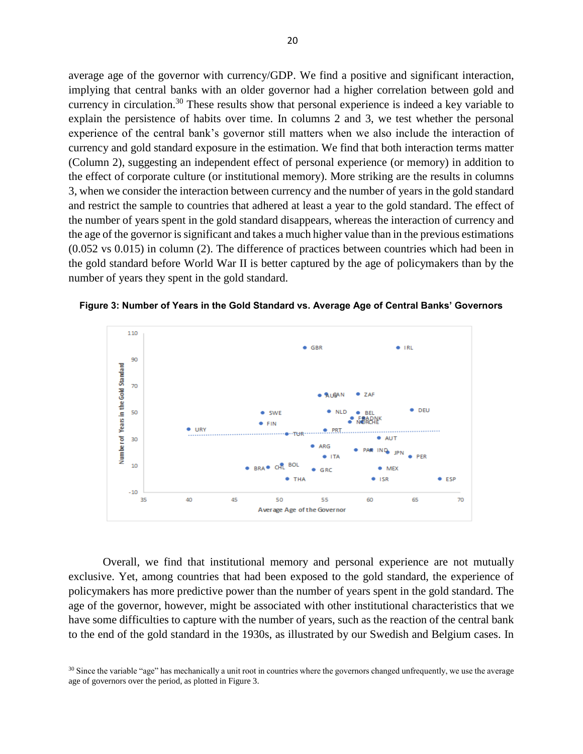average age of the governor with currency/GDP. We find a positive and significant interaction, implying that central banks with an older governor had a higher correlation between gold and currency in circulation.<sup>30</sup> These results show that personal experience is indeed a key variable to explain the persistence of habits over time. In columns 2 and 3, we test whether the personal experience of the central bank's governor still matters when we also include the interaction of currency and gold standard exposure in the estimation. We find that both interaction terms matter (Column 2), suggesting an independent effect of personal experience (or memory) in addition to the effect of corporate culture (or institutional memory). More striking are the results in columns 3, when we consider the interaction between currency and the number of years in the gold standard and restrict the sample to countries that adhered at least a year to the gold standard. The effect of the number of years spent in the gold standard disappears, whereas the interaction of currency and the age of the governor is significant and takes a much higher value than in the previous estimations (0.052 vs 0.015) in column (2). The difference of practices between countries which had been in the gold standard before World War II is better captured by the age of policymakers than by the number of years they spent in the gold standard.



**Figure 3: Number of Years in the Gold Standard vs. Average Age of Central Banks' Governors**

Overall, we find that institutional memory and personal experience are not mutually exclusive. Yet, among countries that had been exposed to the gold standard, the experience of policymakers has more predictive power than the number of years spent in the gold standard. The age of the governor, however, might be associated with other institutional characteristics that we have some difficulties to capture with the number of years, such as the reaction of the central bank to the end of the gold standard in the 1930s, as illustrated by our Swedish and Belgium cases. In

<sup>&</sup>lt;sup>30</sup> Since the variable "age" has mechanically a unit root in countries where the governors changed unfrequently, we use the average age of governors over the period, as plotted in Figure 3.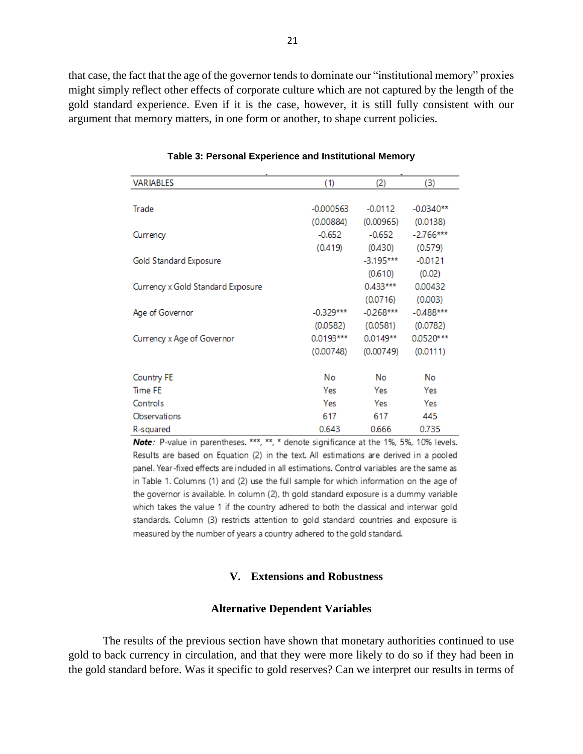that case, the fact that the age of the governor tends to dominate our "institutional memory" proxies might simply reflect other effects of corporate culture which are not captured by the length of the gold standard experience. Even if it is the case, however, it is still fully consistent with our argument that memory matters, in one form or another, to shape current policies.

| <b>VARIABLES</b>                  | (1)         | (2)         | (3)         |
|-----------------------------------|-------------|-------------|-------------|
|                                   |             |             |             |
| Trade                             | $-0.000563$ | $-0.0112$   | $-0.0340**$ |
|                                   | (0.00884)   | (0.00965)   | (0.0138)    |
| Currency                          | $-0.652$    | $-0.652$    | $-2.766***$ |
|                                   | (0.419)     | (0.430)     | (0.579)     |
| Gold Standard Exposure            |             | $-3.195***$ | $-0.0121$   |
|                                   |             | (0.610)     | (0.02)      |
| Currency x Gold Standard Exposure |             | $0.433***$  | 0.00432     |
|                                   |             | (0.0716)    | (0.003)     |
| Age of Governor                   | $-0.329***$ | $-0.268***$ | $-0.488***$ |
|                                   | (0.0582)    | (0.0581)    | (0.0782)    |
| Currency x Age of Governor        | $0.0193***$ | $0.0149**$  | 0.0520***   |
|                                   | (0.00748)   | (0.00749)   | (0.0111)    |
| <b>Country FE</b>                 | No          | No          | No          |
| <b>Time FE</b>                    | Yes         | Yes         | Yes         |
| Controls                          | Yes         | Yes         | Yes         |
| Observations                      | 617         | 617         | 445         |
| R-squared                         | 0.643       | 0.666       | 0.735       |

**Table 3: Personal Experience and Institutional Memory**

Note: P-value in parentheses. \*\*\*, \*\*, \* denote significance at the 1%, 5%, 10% levels. Results are based on Equation (2) in the text. All estimations are derived in a pooled panel. Year-fixed effects are included in all estimations. Control variables are the same as in Table 1. Columns (1) and (2) use the full sample for which information on the age of the governor is available. In column (2), th gold standard exposure is a dummy variable which takes the value 1 if the country adhered to both the classical and interwar gold standards. Column (3) restricts attention to gold standard countries and exposure is measured by the number of years a country adhered to the gold standard.

#### **V. Extensions and Robustness**

#### **Alternative Dependent Variables**

The results of the previous section have shown that monetary authorities continued to use gold to back currency in circulation, and that they were more likely to do so if they had been in the gold standard before. Was it specific to gold reserves? Can we interpret our results in terms of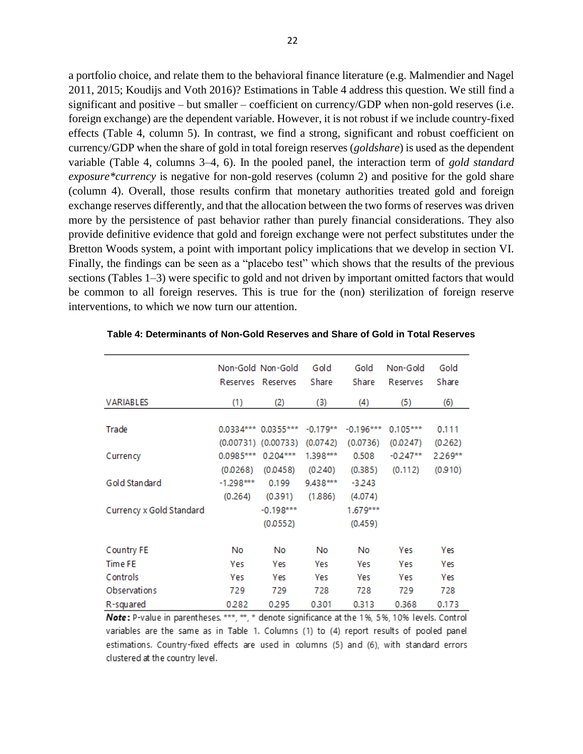a portfolio choice, and relate them to the behavioral finance literature (e.g. Malmendier and Nagel 2011, 2015; Koudijs and Voth 2016)? Estimations in Table 4 address this question. We still find a significant and positive – but smaller – coefficient on currency/GDP when non-gold reserves (i.e. foreign exchange) are the dependent variable. However, it is not robust if we include country-fixed effects (Table 4, column 5). In contrast, we find a strong, significant and robust coefficient on currency/GDP when the share of gold in total foreign reserves (*goldshare*) is used as the dependent variable (Table 4, columns 3–4, 6). In the pooled panel, the interaction term of *gold standard exposure\*currency* is negative for non-gold reserves (column 2) and positive for the gold share (column 4). Overall, those results confirm that monetary authorities treated gold and foreign exchange reserves differently, and that the allocation between the two forms of reserves was driven more by the persistence of past behavior rather than purely financial considerations. They also provide definitive evidence that gold and foreign exchange were not perfect substitutes under the Bretton Woods system, a point with important policy implications that we develop in section VI. Finally, the findings can be seen as a "placebo test" which shows that the results of the previous sections (Tables 1–3) were specific to gold and not driven by important omitted factors that would be common to all foreign reserves. This is true for the (non) sterilization of foreign reserve interventions, to which we now turn our attention.

|                          | Reserves    | Non-Gold Non-Gold<br>Reserves | Gold<br>Share | Gold<br>Share | Non-Gold<br>Reserves | Gold<br>Share |
|--------------------------|-------------|-------------------------------|---------------|---------------|----------------------|---------------|
| <b>VARIABLES</b>         | (1)         | (2)                           | (3)           | (4)           | (5)                  | (6)           |
|                          |             |                               |               |               |                      |               |
| Trade                    | $0.0334***$ | $0.0355***$                   | $-0.179**$    | $-0.196***$   | $0.105***$           | 0.111         |
|                          |             | $(0.00731)$ $(0.00733)$       | (0.0742)      | (0.0736)      | (0.0247)             | (0.262)       |
| Currency                 | $0.0985***$ | $0.204***$                    | 1.398***      | 0.508         | $-0.247**$           | $2.269**$     |
|                          | (0.0268)    | (0.0458)                      | (0.240)       | (0.385)       | (0.112)              | (0.910)       |
| Gold Standard            | $-1.298***$ | 0.199                         | 9.438***      | $-3.243$      |                      |               |
|                          | (0.264)     | (0.391)                       | (1.886)       | (4.074)       |                      |               |
| Currency x Gold Standard |             | $-0.198***$                   |               | 1.679***      |                      |               |
|                          |             | (0.0552)                      |               | (0.459)       |                      |               |
| Country FE               | No.         | No                            | No            | No            | Yes                  | Yes           |
| <b>Time FE</b>           | Yes         | Yes                           | Yes           | Yes           | Yes                  | <b>Yes</b>    |
| Controls                 | Yes         | Yes                           | Yes           | Yes           | Yes                  | Yes           |
| Observations             | 729         | 729                           | 728           | 728           | 729                  | 728           |
| R-squared                | 0.282       | 0.295                         | 0.301         | 0.313         | 0.368                | 0.173         |

**Table 4: Determinants of Non-Gold Reserves and Share of Gold in Total Reserves**

Note: P-value in parentheses. \*\*\*, \*\*, \* denote significance at the 1%, 5%, 10% levels. Control variables are the same as in Table 1. Columns (1) to (4) report results of pooled panel estimations. Country-fixed effects are used in columns (5) and (6), with standard errors clustered at the country level.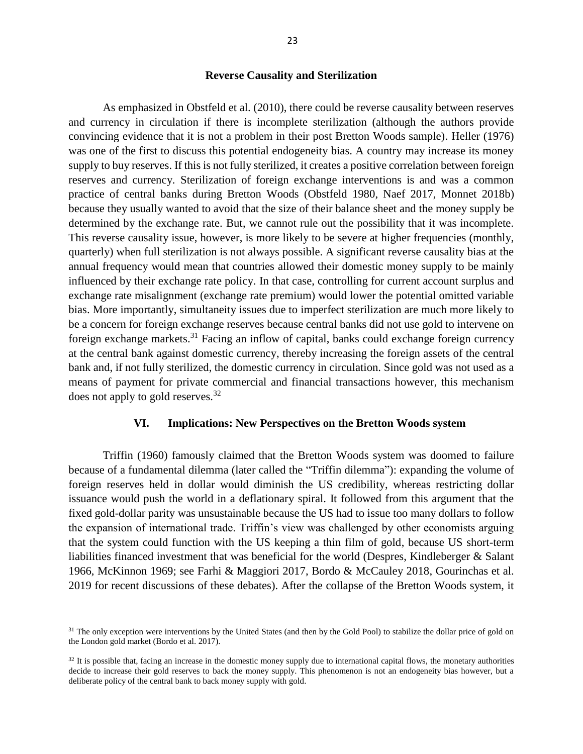#### **Reverse Causality and Sterilization**

As emphasized in Obstfeld et al. (2010), there could be reverse causality between reserves and currency in circulation if there is incomplete sterilization (although the authors provide convincing evidence that it is not a problem in their post Bretton Woods sample). Heller (1976) was one of the first to discuss this potential endogeneity bias. A country may increase its money supply to buy reserves. If this is not fully sterilized, it creates a positive correlation between foreign reserves and currency. Sterilization of foreign exchange interventions is and was a common practice of central banks during Bretton Woods (Obstfeld 1980, Naef 2017, Monnet 2018b) because they usually wanted to avoid that the size of their balance sheet and the money supply be determined by the exchange rate. But, we cannot rule out the possibility that it was incomplete. This reverse causality issue, however, is more likely to be severe at higher frequencies (monthly, quarterly) when full sterilization is not always possible. A significant reverse causality bias at the annual frequency would mean that countries allowed their domestic money supply to be mainly influenced by their exchange rate policy. In that case, controlling for current account surplus and exchange rate misalignment (exchange rate premium) would lower the potential omitted variable bias. More importantly, simultaneity issues due to imperfect sterilization are much more likely to be a concern for foreign exchange reserves because central banks did not use gold to intervene on foreign exchange markets.<sup>31</sup> Facing an inflow of capital, banks could exchange foreign currency at the central bank against domestic currency, thereby increasing the foreign assets of the central bank and, if not fully sterilized, the domestic currency in circulation. Since gold was not used as a means of payment for private commercial and financial transactions however, this mechanism does not apply to gold reserves.<sup>32</sup>

#### **VI. Implications: New Perspectives on the Bretton Woods system**

Triffin (1960) famously claimed that the Bretton Woods system was doomed to failure because of a fundamental dilemma (later called the "Triffin dilemma"): expanding the volume of foreign reserves held in dollar would diminish the US credibility, whereas restricting dollar issuance would push the world in a deflationary spiral. It followed from this argument that the fixed gold-dollar parity was unsustainable because the US had to issue too many dollars to follow the expansion of international trade. Triffin's view was challenged by other economists arguing that the system could function with the US keeping a thin film of gold, because US short-term liabilities financed investment that was beneficial for the world (Despres, Kindleberger & Salant 1966, McKinnon 1969; see Farhi & Maggiori 2017, Bordo & McCauley 2018, Gourinchas et al. 2019 for recent discussions of these debates). After the collapse of the Bretton Woods system, it

<sup>&</sup>lt;sup>31</sup> The only exception were interventions by the United States (and then by the Gold Pool) to stabilize the dollar price of gold on the London gold market (Bordo et al. 2017).

 $32$  It is possible that, facing an increase in the domestic money supply due to international capital flows, the monetary authorities decide to increase their gold reserves to back the money supply. This phenomenon is not an endogeneity bias however, but a deliberate policy of the central bank to back money supply with gold.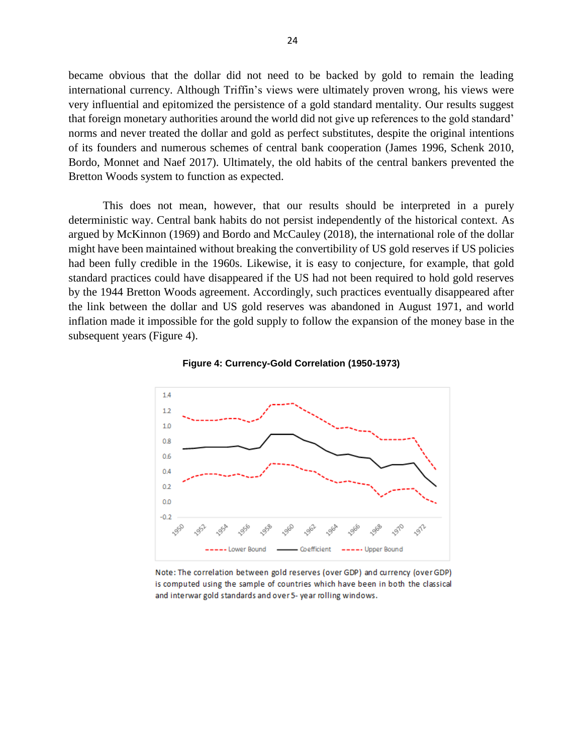became obvious that the dollar did not need to be backed by gold to remain the leading international currency. Although Triffin's views were ultimately proven wrong, his views were very influential and epitomized the persistence of a gold standard mentality. Our results suggest that foreign monetary authorities around the world did not give up references to the gold standard' norms and never treated the dollar and gold as perfect substitutes, despite the original intentions of its founders and numerous schemes of central bank cooperation (James 1996, Schenk 2010, Bordo, Monnet and Naef 2017). Ultimately, the old habits of the central bankers prevented the Bretton Woods system to function as expected.

This does not mean, however, that our results should be interpreted in a purely deterministic way. Central bank habits do not persist independently of the historical context. As argued by McKinnon (1969) and Bordo and McCauley (2018), the international role of the dollar might have been maintained without breaking the convertibility of US gold reserves if US policies had been fully credible in the 1960s. Likewise, it is easy to conjecture, for example, that gold standard practices could have disappeared if the US had not been required to hold gold reserves by the 1944 Bretton Woods agreement. Accordingly, such practices eventually disappeared after the link between the dollar and US gold reserves was abandoned in August 1971, and world inflation made it impossible for the gold supply to follow the expansion of the money base in the subsequent years (Figure 4).





Note: The correlation between gold reserves (over GDP) and currency (over GDP) is computed using the sample of countries which have been in both the classical and interwar gold standards and over 5- year rolling windows.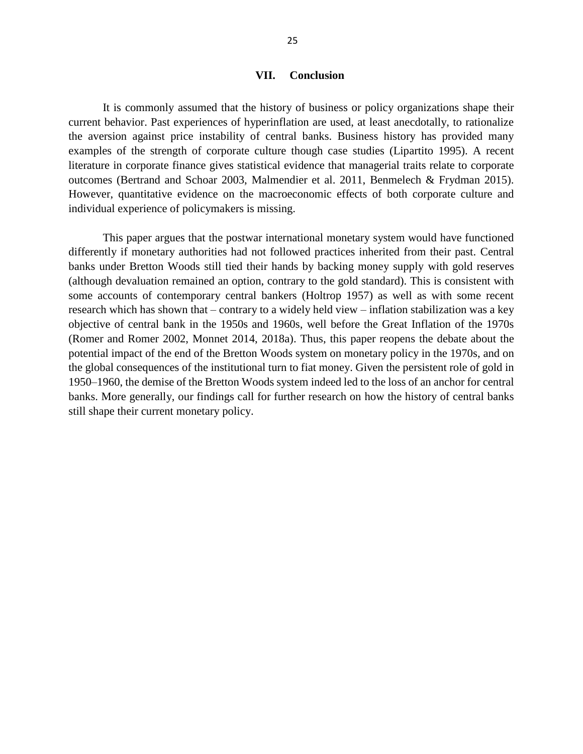#### **VII. Conclusion**

It is commonly assumed that the history of business or policy organizations shape their current behavior. Past experiences of hyperinflation are used, at least anecdotally, to rationalize the aversion against price instability of central banks. Business history has provided many examples of the strength of corporate culture though case studies (Lipartito 1995). A recent literature in corporate finance gives statistical evidence that managerial traits relate to corporate outcomes (Bertrand and Schoar 2003, Malmendier et al. 2011, Benmelech & Frydman 2015). However, quantitative evidence on the macroeconomic effects of both corporate culture and individual experience of policymakers is missing.

This paper argues that the postwar international monetary system would have functioned differently if monetary authorities had not followed practices inherited from their past. Central banks under Bretton Woods still tied their hands by backing money supply with gold reserves (although devaluation remained an option, contrary to the gold standard). This is consistent with some accounts of contemporary central bankers (Holtrop 1957) as well as with some recent research which has shown that – contrary to a widely held view – inflation stabilization was a key objective of central bank in the 1950s and 1960s, well before the Great Inflation of the 1970s (Romer and Romer 2002, Monnet 2014, 2018a). Thus, this paper reopens the debate about the potential impact of the end of the Bretton Woods system on monetary policy in the 1970s, and on the global consequences of the institutional turn to fiat money. Given the persistent role of gold in 1950–1960, the demise of the Bretton Woods system indeed led to the loss of an anchor for central banks. More generally, our findings call for further research on how the history of central banks still shape their current monetary policy.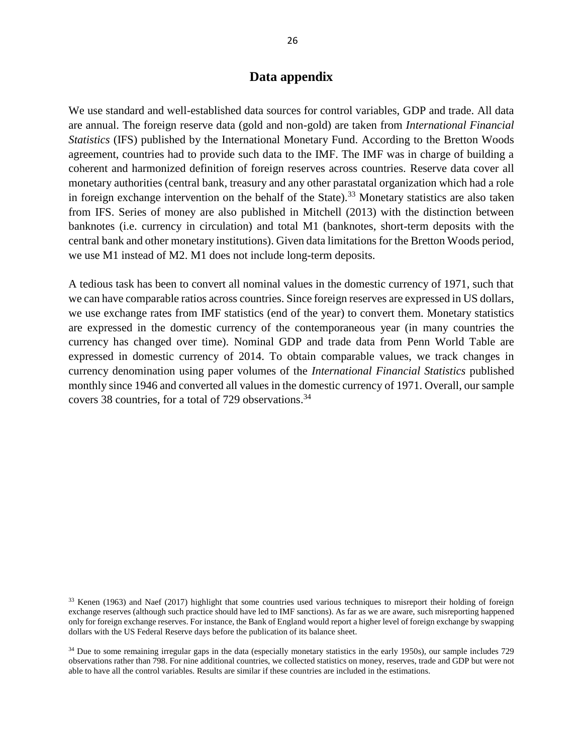#### **Data appendix**

We use standard and well-established data sources for control variables, GDP and trade. All data are annual. The foreign reserve data (gold and non-gold) are taken from *International Financial Statistics* (IFS) published by the International Monetary Fund. According to the Bretton Woods agreement, countries had to provide such data to the IMF. The IMF was in charge of building a coherent and harmonized definition of foreign reserves across countries. Reserve data cover all monetary authorities (central bank, treasury and any other parastatal organization which had a role in foreign exchange intervention on the behalf of the State).<sup>33</sup> Monetary statistics are also taken from IFS. Series of money are also published in Mitchell (2013) with the distinction between banknotes (i.e. currency in circulation) and total M1 (banknotes, short-term deposits with the central bank and other monetary institutions). Given data limitations for the Bretton Woods period, we use M1 instead of M2. M1 does not include long-term deposits.

A tedious task has been to convert all nominal values in the domestic currency of 1971, such that we can have comparable ratios across countries. Since foreign reserves are expressed in US dollars, we use exchange rates from IMF statistics (end of the year) to convert them. Monetary statistics are expressed in the domestic currency of the contemporaneous year (in many countries the currency has changed over time). Nominal GDP and trade data from Penn World Table are expressed in domestic currency of 2014. To obtain comparable values, we track changes in currency denomination using paper volumes of the *International Financial Statistics* published monthly since 1946 and converted all values in the domestic currency of 1971. Overall, our sample covers 38 countries, for a total of 729 observations. 34

<sup>&</sup>lt;sup>33</sup> Kenen (1963) and Naef (2017) highlight that some countries used various techniques to misreport their holding of foreign exchange reserves (although such practice should have led to IMF sanctions). As far as we are aware, such misreporting happened only for foreign exchange reserves. For instance, the Bank of England would report a higher level of foreign exchange by swapping dollars with the US Federal Reserve days before the publication of its balance sheet.

<sup>&</sup>lt;sup>34</sup> Due to some remaining irregular gaps in the data (especially monetary statistics in the early 1950s), our sample includes 729 observations rather than 798. For nine additional countries, we collected statistics on money, reserves, trade and GDP but were not able to have all the control variables. Results are similar if these countries are included in the estimations.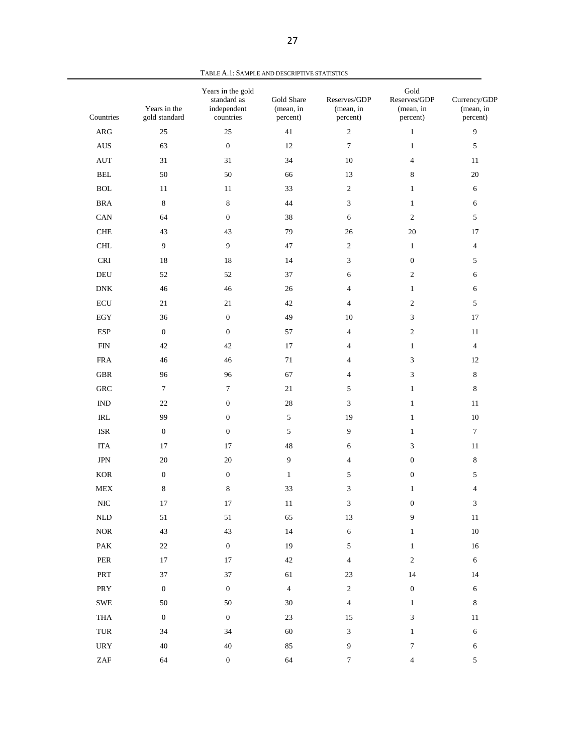| Countries                          | Years in the<br>gold standard | Years in the gold<br>standard as<br>independent<br>countries | Gold Share<br>(mean, in<br>percent) | Reserves/GDP<br>(mean, in<br>percent) | Gold<br>Reserves/GDP<br>(mean, in<br>percent) | Currency/GDP<br>(mean, in<br>percent) |
|------------------------------------|-------------------------------|--------------------------------------------------------------|-------------------------------------|---------------------------------------|-----------------------------------------------|---------------------------------------|
| $\rm{ARG}$                         | 25                            | 25                                                           | 41                                  | $\overline{2}$                        | $\mathbf{1}$                                  | $\mathbf{9}$                          |
| $\mathbf{A}\mathbf{U}\mathbf{S}$   | 63                            | $\boldsymbol{0}$                                             | 12                                  | $\tau$                                | $\mathbf{1}$                                  | $\sqrt{5}$                            |
| $\mathop{\rm AUT}$                 | 31                            | 31                                                           | 34                                  | $10\,$                                | $\overline{4}$                                | 11                                    |
| $\operatorname{BEL}$               | 50                            | 50                                                           | 66                                  | 13                                    | $\,8\,$                                       | 20                                    |
| $\operatorname{BOL}$               | 11                            | 11                                                           | 33                                  | $\overline{2}$                        | $\mathbf{1}$                                  | 6                                     |
| <b>BRA</b>                         | $\,8\,$                       | $\,8\,$                                                      | 44                                  | 3                                     | $\mathbf{1}$                                  | 6                                     |
| CAN                                | 64                            | $\mathbf{0}$                                                 | 38                                  | 6                                     | $\sqrt{2}$                                    | $\sqrt{5}$                            |
| ${\rm CHE}$                        | 43                            | 43                                                           | 79                                  | 26                                    | 20                                            | 17                                    |
| $\rm CHL$                          | 9                             | $\overline{9}$                                               | 47                                  | $\overline{2}$                        | $\mathbf{1}$                                  | $\overline{4}$                        |
| $\ensuremath{\mathsf{CRI}}$        | 18                            | 18                                                           | 14                                  | 3                                     | $\boldsymbol{0}$                              | 5                                     |
| $\operatorname{DEU}$               | 52                            | 52                                                           | 37                                  | 6                                     | $\sqrt{2}$                                    | 6                                     |
| ${\rm DNK}$                        | 46                            | 46                                                           | 26                                  | $\overline{4}$                        | $\mathbf{1}$                                  | 6                                     |
| $\operatorname{ECU}$               | 21                            | 21                                                           | 42                                  | $\overline{4}$                        | $\sqrt{2}$                                    | $\sqrt{5}$                            |
| $_{\rm EGY}$                       | 36                            | $\boldsymbol{0}$                                             | 49                                  | 10                                    | $\mathfrak{Z}$                                | 17                                    |
| <b>ESP</b>                         | $\mathbf{0}$                  | $\mathbf{0}$                                                 | 57                                  | $\overline{4}$                        | $\sqrt{2}$                                    | 11                                    |
| ${\rm FIN}$                        | 42                            | $42\,$                                                       | 17                                  | $\overline{4}$                        | $\mathbf{1}$                                  | $\overline{4}$                        |
| ${\rm FRA}$                        | 46                            | 46                                                           | $71\,$                              | $\overline{4}$                        | $\mathfrak{Z}$                                | 12                                    |
| ${\tt GBR}$                        | 96                            | 96                                                           | 67                                  | $\overline{4}$                        | $\mathfrak{Z}$                                | $\,8\,$                               |
| ${\rm GRC}$                        | 7                             | $\tau$                                                       | $21\,$                              | 5                                     | $\mathbf{1}$                                  | 8                                     |
| $\mathop{\rm IND}\nolimits$        | $22\,$                        | $\mathbf{0}$                                                 | 28                                  | 3                                     | $\mathbf{1}$                                  | 11                                    |
| $\ensuremath{\mathsf{IRL}}\xspace$ | 99                            | $\mathbf{0}$                                                 | $\sqrt{5}$                          | 19                                    | $\mathbf{1}$                                  | 10                                    |
| ISR                                | $\boldsymbol{0}$              | $\mathbf{0}$                                                 | $\sqrt{5}$                          | 9                                     | $\mathbf{1}$                                  | $\boldsymbol{7}$                      |
| <b>ITA</b>                         | 17                            | 17                                                           | 48                                  | 6                                     | 3                                             | 11                                    |
| $\rm JPN$                          | 20                            | $20\,$                                                       | 9                                   | $\overline{4}$                        | $\mathbf{0}$                                  | $\,8\,$                               |
| $_{\rm KOR}$                       | $\boldsymbol{0}$              | $\mathbf{0}$                                                 | $\mathbf{1}$                        | 5                                     | $\mathbf{0}$                                  | $\sqrt{5}$                            |
| ${\rm MEX}$                        | 8                             | $\,8\,$                                                      | 33                                  | 3                                     | $\mathbf{1}$                                  | 4                                     |
| $\rm NIC$                          | 17                            | 17                                                           | 11                                  | 3                                     | $\boldsymbol{0}$                              | 3                                     |
| $\mbox{NLD}$                       | 51                            | $51\,$                                                       | 65                                  | 13                                    | $\boldsymbol{9}$                              | $11\,$                                |
| $\rm{NOR}$                         | $43\,$                        | 43                                                           | 14                                  | $\sqrt{6}$                            | $\mathbf{1}$                                  | $10\,$                                |
| PAK                                | $22\,$                        | $\boldsymbol{0}$                                             | 19                                  | $\sqrt{5}$                            | $\mathbf{1}$                                  | 16                                    |
| ${\tt PER}$                        | 17                            | 17                                                           | $42\,$                              | $\sqrt{4}$                            | $\sqrt{2}$                                    | $\sqrt{6}$                            |
| PRT                                | 37                            | $37\,$                                                       | 61                                  | $23\,$                                | 14                                            | 14                                    |
| PRY                                | $\boldsymbol{0}$              | $\boldsymbol{0}$                                             | $\sqrt{4}$                          | $\sqrt{2}$                            | $\boldsymbol{0}$                              | $\sqrt{6}$                            |
| ${\tt SWE}$                        | 50                            | $50\,$                                                       | 30                                  | $\sqrt{4}$                            | $\mathbf{1}$                                  | $\,8\,$                               |
| THA                                | $\boldsymbol{0}$              | $\boldsymbol{0}$                                             | 23                                  | 15                                    | $\ensuremath{\mathfrak{Z}}$                   | 11                                    |
| TUR                                | 34                            | 34                                                           | 60                                  | $\ensuremath{\mathfrak{Z}}$           | $\mathbf{1}$                                  | $\sqrt{6}$                            |
| $_{\rm{URY}}$                      | 40                            | $40\,$                                                       | 85                                  | $\boldsymbol{9}$                      | $\tau$                                        | $\sqrt{6}$                            |
| $\ensuremath{\mathrm{ZAF}}$        | 64                            | $\boldsymbol{0}$                                             | 64                                  | $\boldsymbol{7}$                      | $\overline{4}$                                | $\sqrt{5}$                            |

TABLE A.1: SAMPLE AND DESCRIPTIVE STATISTICS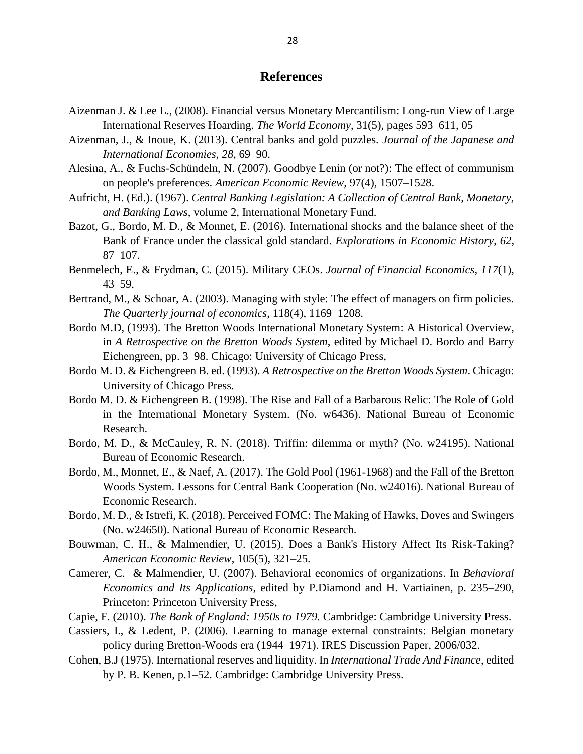#### **References**

- Aizenman J. & Lee L., (2008). Financial versus Monetary Mercantilism: Long-run View of Large International Reserves Hoarding. *The World Economy*, 31(5), pages 593–611, 05
- Aizenman, J., & Inoue, K. (2013). Central banks and gold puzzles. *Journal of the Japanese and International Economies*, *28*, 69–90.
- Alesina, A., & Fuchs-Schündeln, N. (2007). Goodbye Lenin (or not?): The effect of communism on people's preferences. *American Economic Review*, 97(4), 1507–1528.
- Aufricht, H. (Ed.). (1967). *Central Banking Legislation: A Collection of Central Bank, Monetary, and Banking Laws*, volume 2, International Monetary Fund.
- Bazot, G., Bordo, M. D., & Monnet, E. (2016). International shocks and the balance sheet of the Bank of France under the classical gold standard. *Explorations in Economic History*, *62*, 87–107.
- Benmelech, E., & Frydman, C. (2015). Military CEOs. *Journal of Financial Economics*, *117*(1),  $43 - 59.$
- Bertrand, M., & Schoar, A. (2003). Managing with style: The effect of managers on firm policies. *The Quarterly journal of economics*, 118(4), 1169–1208.
- Bordo M.D, (1993). The Bretton Woods International Monetary System: A Historical Overview, in *A Retrospective on the Bretton Woods System*, edited by Michael D. Bordo and Barry Eichengreen, pp. 3–98. Chicago: University of Chicago Press,
- Bordo M. D. & Eichengreen B. ed. (1993). *A Retrospective on the Bretton Woods System*. Chicago: University of Chicago Press.
- Bordo M. D. & Eichengreen B. (1998). The Rise and Fall of a Barbarous Relic: The Role of Gold in the International Monetary System. (No. w6436). National Bureau of Economic Research.
- Bordo, M. D., & McCauley, R. N. (2018). Triffin: dilemma or myth? (No. w24195). National Bureau of Economic Research.
- Bordo, M., Monnet, E., & Naef, A. (2017). The Gold Pool (1961-1968) and the Fall of the Bretton Woods System. Lessons for Central Bank Cooperation (No. w24016). National Bureau of Economic Research.
- Bordo, M. D., & Istrefi, K. (2018). Perceived FOMC: The Making of Hawks, Doves and Swingers (No. w24650). National Bureau of Economic Research.
- Bouwman, C. H., & Malmendier, U. (2015). Does a Bank's History Affect Its Risk-Taking? *American Economic Review*, 105(5), 321–25.
- Camerer, C. & Malmendier, U. (2007). Behavioral economics of organizations. In *Behavioral Economics and Its Applications*, edited by P.Diamond and H. Vartiainen, p. 235–290, Princeton: Princeton University Press,
- Capie, F. (2010). *The Bank of England: 1950s to 1979.* Cambridge: Cambridge University Press.
- Cassiers, I., & Ledent, P. (2006). Learning to manage external constraints: Belgian monetary policy during Bretton-Woods era (1944–1971). IRES Discussion Paper, 2006/032.
- Cohen, B.J (1975). International reserves and liquidity. In *International Trade And Finance*, edited by P. B. Kenen, p.1–52. Cambridge: Cambridge University Press.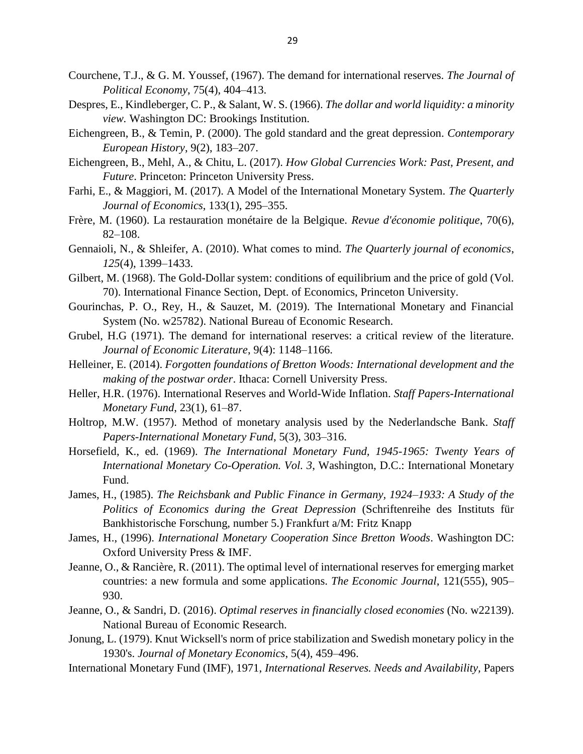- Courchene, T.J., & G. M. Youssef, (1967). The demand for international reserves. *The Journal of Political Economy*, 75(4), 404–413.
- Despres, E., Kindleberger, C. P., & Salant, W. S. (1966). *The dollar and world liquidity: a minority view.* Washington DC: Brookings Institution.
- Eichengreen, B., & Temin, P. (2000). The gold standard and the great depression. *Contemporary European History*, 9(2), 183–207.
- Eichengreen, B., Mehl, A., & Chitu, L. (2017). *How Global Currencies Work: Past, Present, and Future*. Princeton: Princeton University Press.
- Farhi, E., & Maggiori, M. (2017). A Model of the International Monetary System. *The Quarterly Journal of Economics*, 133(1), 295–355.
- Frère, M. (1960). La restauration monétaire de la Belgique. *Revue d'économie politique*, 70(6), 82–108.
- Gennaioli, N., & Shleifer, A. (2010). What comes to mind. *The Quarterly journal of economics*, *125*(4), 1399–1433.
- Gilbert, M. (1968). The Gold-Dollar system: conditions of equilibrium and the price of gold (Vol. 70). International Finance Section, Dept. of Economics, Princeton University.
- Gourinchas, P. O., Rey, H., & Sauzet, M. (2019). The International Monetary and Financial System (No. w25782). National Bureau of Economic Research.
- Grubel, H.G (1971). The demand for international reserves: a critical review of the literature. *Journal of Economic Literature*, 9(4): 1148–1166.
- Helleiner, E. (2014). *Forgotten foundations of Bretton Woods: International development and the making of the postwar order*. Ithaca: Cornell University Press.
- Heller, H.R. (1976). International Reserves and World-Wide Inflation. *Staff Papers-International Monetary Fund*, 23(1), 61–87.
- Holtrop, M.W. (1957). Method of monetary analysis used by the Nederlandsche Bank. *Staff Papers-International Monetary Fund*, 5(3), 303–316.
- Horsefield, K., ed. (1969). *The International Monetary Fund, 1945-1965: Twenty Years of International Monetary Co-Operation. Vol. 3*, Washington, D.C.: International Monetary Fund.
- James, H., (1985). *The Reichsbank and Public Finance in Germany, 1924–1933: A Study of the Politics of Economics during the Great Depression* (Schriftenreihe des Instituts für Bankhistorische Forschung, number 5.) Frankfurt a/M: Fritz Knapp
- James, H., (1996). *International Monetary Cooperation Since Bretton Woods*. Washington DC: Oxford University Press & IMF.
- Jeanne, O., & Rancière, R. (2011). The optimal level of international reserves for emerging market countries: a new formula and some applications. *The Economic Journal*, 121(555), 905– 930.
- Jeanne, O., & Sandri, D. (2016). *Optimal reserves in financially closed economies* (No. w22139). National Bureau of Economic Research.
- Jonung, L. (1979). Knut Wicksell's norm of price stabilization and Swedish monetary policy in the 1930's. *Journal of Monetary Economics*, 5(4), 459–496.
- International Monetary Fund (IMF), 1971, *International Reserves. Needs and Availability,* Papers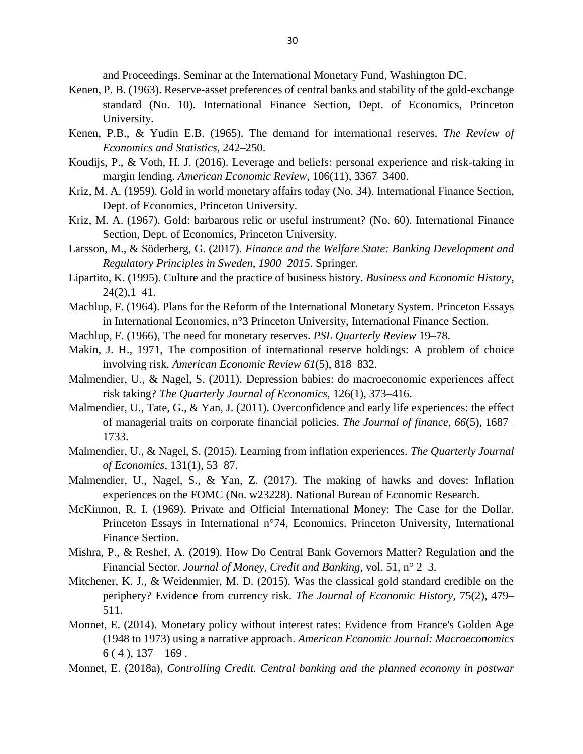and Proceedings. Seminar at the International Monetary Fund, Washington DC.

- Kenen, P. B. (1963). Reserve-asset preferences of central banks and stability of the gold-exchange standard (No. 10). International Finance Section, Dept. of Economics, Princeton University.
- Kenen, P.B., & Yudin E.B. (1965). The demand for international reserves. *The Review of Economics and Statistics*, 242–250.
- Koudijs, P., & Voth, H. J. (2016). Leverage and beliefs: personal experience and risk-taking in margin lending. *American Economic Review*, 106(11), 3367–3400.
- Kriz, M. A. (1959). Gold in world monetary affairs today (No. 34). International Finance Section, Dept. of Economics, Princeton University.
- Kriz, M. A. (1967). Gold: barbarous relic or useful instrument? (No. 60). International Finance Section, Dept. of Economics, Princeton University.
- Larsson, M., & Söderberg, G. (2017). *Finance and the Welfare State: Banking Development and Regulatory Principles in Sweden, 1900–2015*. Springer.
- Lipartito, K. (1995). Culture and the practice of business history. *Business and Economic History*,  $24(2)$ ,  $1-41$ .
- Machlup, F. (1964). Plans for the Reform of the International Monetary System. Princeton Essays in International Economics, n°3 Princeton University, International Finance Section.
- Machlup, F. (1966), The need for monetary reserves. *PSL Quarterly Review* 19–78.
- Makin, J. H., 1971, The composition of international reserve holdings: A problem of choice involving risk. *American Economic Review 61*(5), 818–832.
- Malmendier, U., & Nagel, S. (2011). Depression babies: do macroeconomic experiences affect risk taking? *The Quarterly Journal of Economics,* 126(1), 373–416.
- Malmendier, U., Tate, G., & Yan, J. (2011). Overconfidence and early life experiences: the effect of managerial traits on corporate financial policies. *The Journal of finance*, *66*(5), 1687– 1733.
- Malmendier, U., & Nagel, S. (2015). Learning from inflation experiences. *The Quarterly Journal of Economics*, 131(1), 53–87.
- Malmendier, U., Nagel, S., & Yan, Z. (2017). The making of hawks and doves: Inflation experiences on the FOMC (No. w23228). National Bureau of Economic Research.
- McKinnon, R. I. (1969). Private and Official International Money: The Case for the Dollar. Princeton Essays in International n°74, Economics. Princeton University, International Finance Section.
- Mishra, P., & Reshef, A. (2019). How Do Central Bank Governors Matter? Regulation and the Financial Sector. *Journal of Money, Credit and Banking*, vol. 51, n° 2–3.
- Mitchener, K. J., & Weidenmier, M. D. (2015). Was the classical gold standard credible on the periphery? Evidence from currency risk. *The Journal of Economic History*, 75(2), 479– 511.
- Monnet, E. (2014). Monetary policy without interest rates: Evidence from France's Golden Age (1948 to 1973) using a narrative approach. *American Economic Journal: Macroeconomics*  $6(4)$ ,  $137-169$ .
- Monnet, E. (2018a), *Controlling Credit. Central banking and the planned economy in postwar*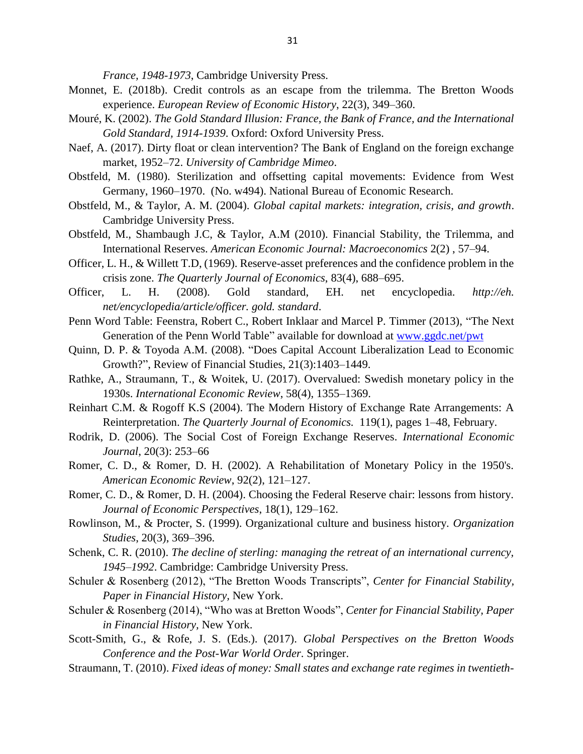*France, 1948-1973*, Cambridge University Press.

- Monnet, E. (2018b). Credit controls as an escape from the trilemma. The Bretton Woods experience. *European Review of Economic History*, 22(3), 349–360.
- Mouré, K. (2002). *The Gold Standard Illusion: France, the Bank of France, and the International Gold Standard, 1914-1939*. Oxford: Oxford University Press.
- Naef, A. (2017). Dirty float or clean intervention? The Bank of England on the foreign exchange market, 1952–72. *University of Cambridge Mimeo*.
- Obstfeld, M. (1980). Sterilization and offsetting capital movements: Evidence from West Germany, 1960–1970. (No. w494). National Bureau of Economic Research.
- Obstfeld, M., & Taylor, A. M. (2004). *Global capital markets: integration, crisis, and growth*. Cambridge University Press.
- Obstfeld, M., Shambaugh J.C, & Taylor, A.M (2010). Financial Stability, the Trilemma, and International Reserves. *American Economic Journal: Macroeconomics* 2(2) , 57–94.
- Officer, L. H., & Willett T.D, (1969). Reserve-asset preferences and the confidence problem in the crisis zone. *The Quarterly Journal of Economics*, 83(4), 688–695.
- Officer, L. H. (2008). Gold standard, EH. net encyclopedia. *http://eh. net/encyclopedia/article/officer. gold. standard*.
- Penn Word Table: Feenstra, Robert C., Robert Inklaar and Marcel P. Timmer (2013), "The Next Generation of the Penn World Table" available for download at [www.ggdc.net/pwt](http://www.ggdc.net/pwt)
- Quinn, D. P. & Toyoda A.M. (2008). "Does Capital Account Liberalization Lead to Economic Growth?", Review of Financial Studies, 21(3):1403–1449.
- Rathke, A., Straumann, T., & Woitek, U. (2017). Overvalued: Swedish monetary policy in the 1930s. *International Economic Review*, 58(4), 1355–1369.
- Reinhart C.M. & Rogoff K.S (2004). The Modern History of Exchange Rate Arrangements: A Reinterpretation. *The Quarterly Journal of Economics.* 119(1), pages 1–48, February.
- Rodrik, D. (2006). The Social Cost of Foreign Exchange Reserves. *International Economic Journal*, 20(3): 253–66
- Romer, C. D., & Romer, D. H. (2002). A Rehabilitation of Monetary Policy in the 1950's. *American Economic Review*, 92(2), 121–127.
- Romer, C. D., & Romer, D. H. (2004). Choosing the Federal Reserve chair: lessons from history. *Journal of Economic Perspectives*, 18(1), 129–162.
- Rowlinson, M., & Procter, S. (1999). Organizational culture and business history. *Organization Studies*, 20(3), 369–396.
- Schenk, C. R. (2010). *The decline of sterling: managing the retreat of an international currency, 1945–1992*. Cambridge: Cambridge University Press.
- Schuler & Rosenberg (2012), "The Bretton Woods Transcripts", *Center for Financial Stability, Paper in Financial History,* New York.
- Schuler & Rosenberg (2014), "Who was at Bretton Woods", *Center for Financial Stability, Paper in Financial History,* New York.
- Scott-Smith, G., & Rofe, J. S. (Eds.). (2017). *Global Perspectives on the Bretton Woods Conference and the Post-War World Order*. Springer.
- Straumann, T. (2010). *Fixed ideas of money: Small states and exchange rate regimes in twentieth-*